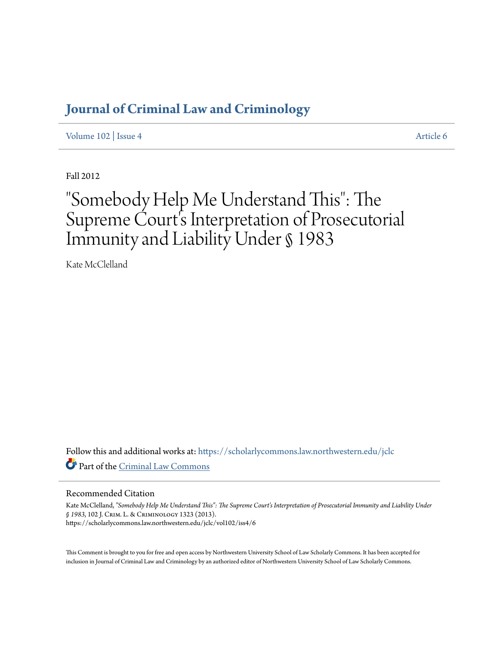# **Journal of Criminal Law and Criminology**

Volume 102 | Issue 4 Article 6

Fall 2012

# "Somebody Help Me Understand This": The Supreme Court's Interpretation of Prosecutorial Immunity and Liability Under § 1983

Kate McClelland

Follow this and additional works at: https://scholarlycommons.law.northwestern.edu/jclc Part of the Criminal Law Commons

## Recommended Citation

Kate McClelland, *"Somebody Help Me Understand This": The Supreme Court's Interpretation of Prosecutorial Immunity and Liability Under § 1983*, 102 J. Crim. L. & Criminology 1323 (2013). https://scholarlycommons.law.northwestern.edu/jclc/vol102/iss4/6

This Comment is brought to you for free and open access by Northwestern University School of Law Scholarly Commons. It has been accepted for inclusion in Journal of Criminal Law and Criminology by an authorized editor of Northwestern University School of Law Scholarly Commons.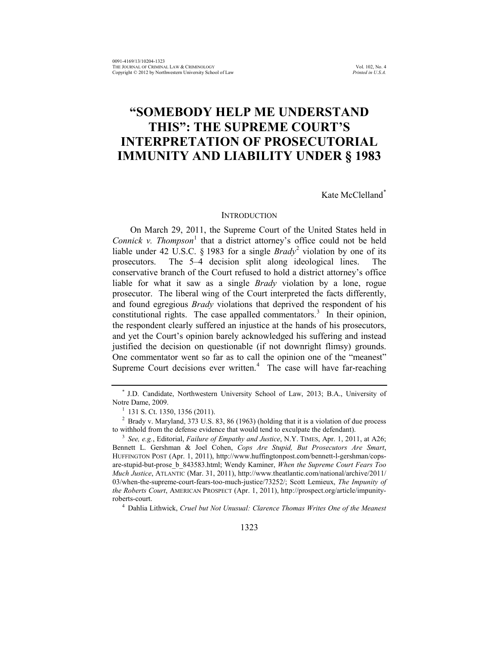# **"SOMEBODY HELP ME UNDERSTAND THIS": THE SUPREME COURT'S INTERPRETATION OF PROSECUTORIAL IMMUNITY AND LIABILITY UNDER § 1983**

Kate McClelland\*

#### **INTRODUCTION**

On March 29, 2011, the Supreme Court of the United States held in *Connick v. Thompson*<sup>1</sup> that a district attorney's office could not be held liable under 42 U.S.C. § 1983 for a single *Brady*<sup>2</sup> violation by one of its prosecutors. The 5–4 decision split along ideological lines. The conservative branch of the Court refused to hold a district attorney's office liable for what it saw as a single *Brady* violation by a lone, rogue prosecutor. The liberal wing of the Court interpreted the facts differently, and found egregious *Brady* violations that deprived the respondent of his constitutional rights. The case appalled commentators.<sup>3</sup> In their opinion, the respondent clearly suffered an injustice at the hands of his prosecutors, and yet the Court's opinion barely acknowledged his suffering and instead justified the decision on questionable (if not downright flimsy) grounds. One commentator went so far as to call the opinion one of the "meanest" Supreme Court decisions ever written. $4$  The case will have far-reaching

<sup>4</sup> Dahlia Lithwick, *Cruel but Not Unusual: Clarence Thomas Writes One of the Meanest* 

<sup>\*</sup> J.D. Candidate, Northwestern University School of Law, 2013; B.A., University of Notre Dame, 2009.

 $1$  131 S. Ct. 1350, 1356 (2011).

<sup>2</sup> Brady v. Maryland, 373 U.S. 83, 86 (1963) (holding that it is a violation of due process to withhold from the defense evidence that would tend to exculpate the defendant).

<sup>3</sup> *See, e.g.*, Editorial, *Failure of Empathy and Justice*, N.Y. TIMES, Apr. 1, 2011, at A26; Bennett L. Gershman & Joel Cohen, *Cops Are Stupid, But Prosecutors Are Smart*, HUFFINGTON POST (Apr. 1, 2011), http://www.huffingtonpost.com/bennett-l-gershman/copsare-stupid-but-prose\_b\_843583.html; Wendy Kaminer, *When the Supreme Court Fears Too Much Justice*, ATLANTIC (Mar. 31, 2011), http://www.theatlantic.com/national/archive/2011/ 03/when-the-supreme-court-fears-too-much-justice/73252/; Scott Lemieux, *The Impunity of the Roberts Court*, AMERICAN PROSPECT (Apr. 1, 2011), http://prospect.org/article/impunityroberts-court.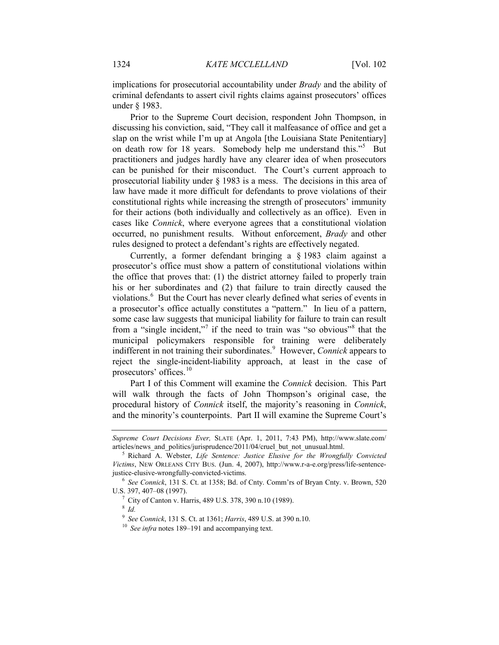implications for prosecutorial accountability under *Brady* and the ability of criminal defendants to assert civil rights claims against prosecutors' offices under § 1983.

Prior to the Supreme Court decision, respondent John Thompson, in discussing his conviction, said, "They call it malfeasance of office and get a slap on the wrist while I'm up at Angola [the Louisiana State Penitentiary] on death row for 18 years. Somebody help me understand this."<sup>5</sup> But practitioners and judges hardly have any clearer idea of when prosecutors can be punished for their misconduct. The Court's current approach to prosecutorial liability under § 1983 is a mess. The decisions in this area of law have made it more difficult for defendants to prove violations of their constitutional rights while increasing the strength of prosecutors' immunity for their actions (both individually and collectively as an office). Even in cases like *Connick*, where everyone agrees that a constitutional violation occurred, no punishment results. Without enforcement, *Brady* and other rules designed to protect a defendant's rights are effectively negated.

Currently, a former defendant bringing a § 1983 claim against a prosecutor's office must show a pattern of constitutional violations within the office that proves that: (1) the district attorney failed to properly train his or her subordinates and (2) that failure to train directly caused the violations.<sup>6</sup> But the Court has never clearly defined what series of events in a prosecutor's office actually constitutes a "pattern." In lieu of a pattern, some case law suggests that municipal liability for failure to train can result from a "single incident,"<sup>7</sup> if the need to train was "so obvious"<sup>8</sup> that the municipal policymakers responsible for training were deliberately indifferent in not training their subordinates.<sup>9</sup> However, *Connick* appears to reject the single-incident-liability approach, at least in the case of prosecutors' offices.<sup>10</sup>

Part I of this Comment will examine the *Connick* decision. This Part will walk through the facts of John Thompson's original case, the procedural history of *Connick* itself, the majority's reasoning in *Connick*, and the minority's counterpoints. Part II will examine the Supreme Court's

<sup>8</sup> *Id.*

*Supreme Court Decisions Ever,* SLATE (Apr. 1, 2011, 7:43 PM), http://www.slate.com/ articles/news and politics/jurisprudence/2011/04/cruel\_but\_not\_unusual.html.

<sup>5</sup> Richard A. Webster, *Life Sentence: Justice Elusive for the Wrongfully Convicted Victims*, NEW ORLEANS CITY BUS. (Jun. 4, 2007), http://www.r-a-e.org/press/life-sentencejustice-elusive-wrongfully-convicted-victims. 6 *See Connick*, 131 S. Ct. at 1358; Bd. of Cnty. Comm'rs of Bryan Cnty. v. Brown, 520

U.S. 397, 407–08 (1997).

<sup>7</sup> City of Canton v. Harris, 489 U.S. 378, 390 n.10 (1989).

<sup>9</sup> *See Connick*, 131 S. Ct. at 1361; *Harris*, 489 U.S. at 390 n.10.

<sup>10</sup> *See infra* notes 189–191 and accompanying text.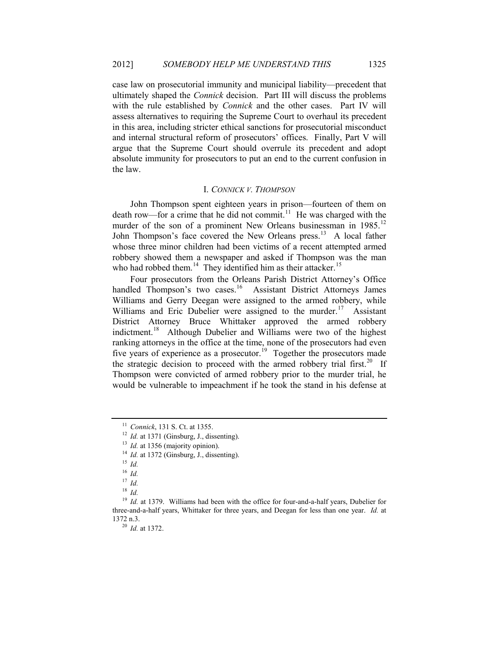case law on prosecutorial immunity and municipal liability—precedent that ultimately shaped the *Connick* decision. Part III will discuss the problems with the rule established by *Connick* and the other cases. Part IV will assess alternatives to requiring the Supreme Court to overhaul its precedent in this area, including stricter ethical sanctions for prosecutorial misconduct and internal structural reform of prosecutors' offices. Finally, Part V will argue that the Supreme Court should overrule its precedent and adopt absolute immunity for prosecutors to put an end to the current confusion in the law.

#### I. *CONNICK V. THOMPSON*

John Thompson spent eighteen years in prison—fourteen of them on death row—for a crime that he did not commit.<sup>11</sup> He was charged with the murder of the son of a prominent New Orleans businessman in 1985.<sup>12</sup> John Thompson's face covered the New Orleans press.<sup>13</sup> A local father whose three minor children had been victims of a recent attempted armed robbery showed them a newspaper and asked if Thompson was the man who had robbed them.<sup>14</sup> They identified him as their attacker.<sup>15</sup>

Four prosecutors from the Orleans Parish District Attorney's Office handled Thompson's two cases.<sup>16</sup> Assistant District Attorneys James Williams and Gerry Deegan were assigned to the armed robbery, while Williams and Eric Dubelier were assigned to the murder.<sup>17</sup> Assistant District Attorney Bruce Whittaker approved the armed robbery indictment.18 Although Dubelier and Williams were two of the highest ranking attorneys in the office at the time, none of the prosecutors had even five years of experience as a prosecutor.<sup>19</sup> Together the prosecutors made the strategic decision to proceed with the armed robbery trial first.<sup>20</sup> If Thompson were convicted of armed robbery prior to the murder trial, he would be vulnerable to impeachment if he took the stand in his defense at

<sup>11</sup> *Connick*, 131 S. Ct. at 1355.

 $12$  *Id.* at 1371 (Ginsburg, J., dissenting).

<sup>&</sup>lt;sup>13</sup> *Id.* at 1356 (majority opinion).

<sup>&</sup>lt;sup>14</sup> *Id.* at 1372 (Ginsburg, J., dissenting).

<sup>15</sup> *Id.*

<sup>16</sup> *Id.*

<sup>17</sup> *Id.*

<sup>18</sup> *Id.*

<sup>&</sup>lt;sup>19</sup> *Id.* at 1379. Williams had been with the office for four-and-a-half years, Dubelier for three-and-a-half years, Whittaker for three years, and Deegan for less than one year. *Id.* at 1372 n.3.

<sup>20</sup> *Id.* at 1372.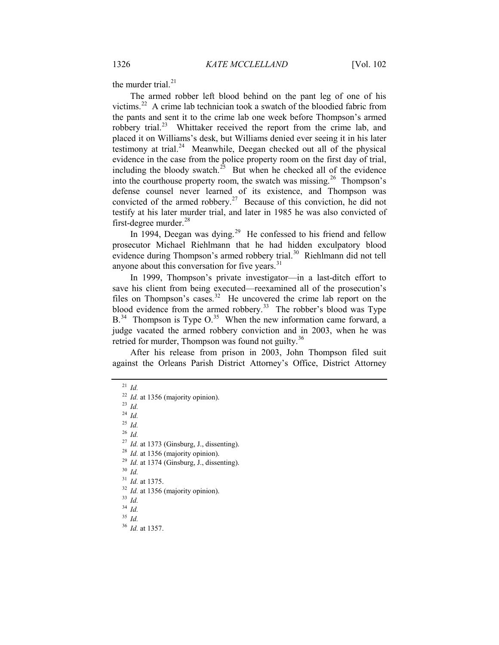the murder trial. $^{21}$ 

The armed robber left blood behind on the pant leg of one of his victims.22 A crime lab technician took a swatch of the bloodied fabric from the pants and sent it to the crime lab one week before Thompson's armed robbery trial.<sup>23</sup> Whittaker received the report from the crime lab, and placed it on Williams's desk, but Williams denied ever seeing it in his later testimony at trial.<sup>24</sup> Meanwhile, Deegan checked out all of the physical evidence in the case from the police property room on the first day of trial, including the bloody swatch.<sup>25</sup> But when he checked all of the evidence into the courthouse property room, the swatch was missing.<sup>26</sup> Thompson's defense counsel never learned of its existence, and Thompson was convicted of the armed robbery.<sup>27</sup> Because of this conviction, he did not testify at his later murder trial, and later in 1985 he was also convicted of first-degree murder.<sup>28</sup>

In 1994, Deegan was dying.<sup>29</sup> He confessed to his friend and fellow prosecutor Michael Riehlmann that he had hidden exculpatory blood evidence during Thompson's armed robbery trial.<sup>30</sup> Riehlmann did not tell anyone about this conversation for five years.<sup>31</sup>

In 1999, Thompson's private investigator—in a last-ditch effort to save his client from being executed—reexamined all of the prosecution's files on Thompson's cases.<sup>32</sup> He uncovered the crime lab report on the blood evidence from the armed robbery.<sup>33</sup> The robber's blood was Type  $B<sup>34</sup>$  Thompson is Type O.<sup>35</sup> When the new information came forward, a judge vacated the armed robbery conviction and in 2003, when he was retried for murder, Thompson was found not guilty.<sup>36</sup>

After his release from prison in 2003, John Thompson filed suit against the Orleans Parish District Attorney's Office, District Attorney

<sup>24</sup> *Id.*

<sup>25</sup> *Id.*

<sup>26</sup> *Id.*

<sup>27</sup> *Id.* at 1373 (Ginsburg, J., dissenting).

- <sup>28</sup> *Id.* at 1356 (majority opinion).
- <sup>29</sup> *Id.* at 1374 (Ginsburg, J., dissenting).
- <sup>30</sup> *Id.*
- <sup>31</sup> *Id.* at 1375.
- <sup>32</sup> *Id.* at 1356 (majority opinion).
- <sup>33</sup> *Id.*
- <sup>34</sup> *Id.*
- <sup>35</sup> *Id.*
- <sup>36</sup> *Id.* at 1357.

<sup>21</sup> *Id.*

<sup>22</sup> *Id.* at 1356 (majority opinion).

<sup>23</sup> *Id.*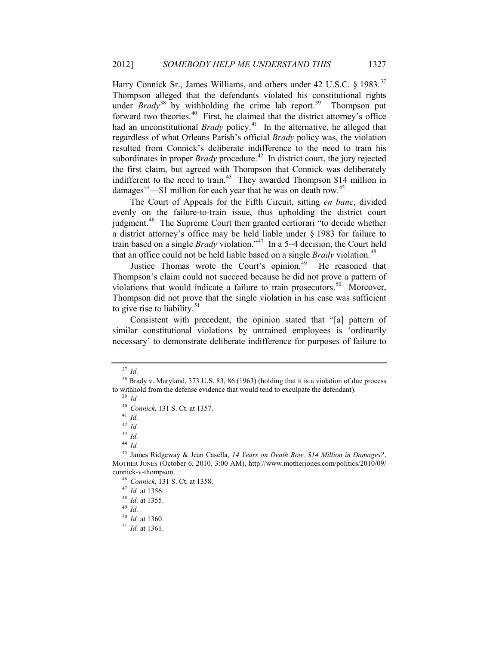Harry Connick Sr., James Williams, and others under 42 U.S.C. § 1983.<sup>37</sup> Thompson alleged that the defendants violated his constitutional rights under *Brady*<sup>38</sup> by withholding the crime lab report. 39 Thompson put forward two theories.<sup>40</sup> First, he claimed that the district attorney's office had an unconstitutional *Brady* policy.<sup>41</sup> In the alternative, he alleged that regardless of what Orleans Parish's official *Brady* policy was, the violation resulted from Connick's deliberate indifference to the need to train his subordinates in proper *Brady* procedure.<sup>42</sup> In district court, the jury rejected the first claim, but agreed with Thompson that Connick was deliberately indifferent to the need to train.<sup>43</sup> They awarded Thompson \$14 million in damages<sup>44</sup>—\$1 million for each year that he was on death row.<sup>45</sup>

The Court of Appeals for the Fifth Circuit, sitting *en banc*, divided evenly on the failure-to-train issue, thus upholding the district court judgment.<sup>46</sup> The Supreme Court then granted certiorari "to decide whether a district attorney's office may be held liable under § 1983 for failure to train based on a single *Brady* violation."47 In a 5–4 decision, the Court held that an office could not be held liable based on a single *Brady* violation.<sup>48</sup>

Justice Thomas wrote the Court's opinion.<sup>49</sup> He reasoned that Thompson's claim could not succeed because he did not prove a pattern of violations that would indicate a failure to train prosecutors.<sup>50</sup> Moreover, Thompson did not prove that the single violation in his case was sufficient to give rise to liability.<sup>51</sup>

Consistent with precedent, the opinion stated that "[a] pattern of similar constitutional violations by untrained employees is 'ordinarily necessary' to demonstrate deliberate indifference for purposes of failure to

<sup>41</sup> *Id.*

<sup>42</sup> *Id.*

<sup>43</sup> *Id.*

<sup>44</sup> *Id.*

<sup>45</sup> James Ridgeway & Jean Casella, *14 Years on Death Row. \$14 Million in Damages?*, MOTHER JONES (October 6, 2010, 3:00 AM), http://www.motherjones.com/politics/2010/09/ connick-v-thompson.

<sup>49</sup> *Id.*

<sup>37</sup> *Id.*

<sup>&</sup>lt;sup>38</sup> Brady v. Maryland, 373 U.S. 83, 86 (1963) (holding that it is a violation of due process to withhold from the defense evidence that would tend to exculpate the defendant).

<sup>39</sup> *Id.*

<sup>40</sup> *Connick*, 131 S. Ct. at 1357.

<sup>46</sup> *Connick*, 131 S. Ct. at 1358.

<sup>47</sup> *Id.* at 1356.

<sup>48</sup> *Id.* at 1355.

<sup>50</sup> *Id.* at 1360.

<sup>51</sup> *Id.* at 1361.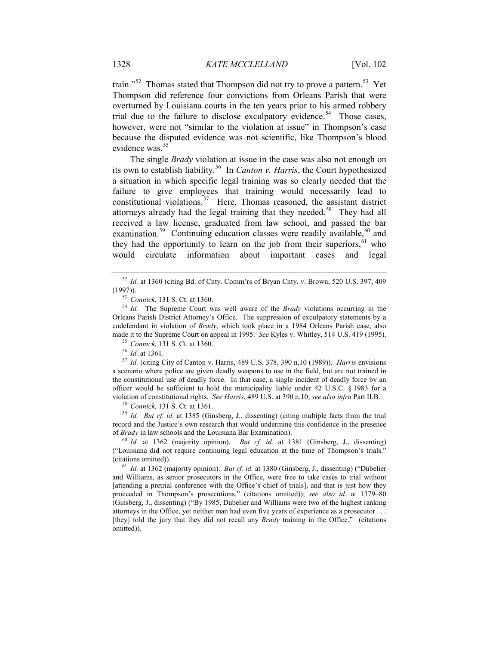train."<sup>52</sup> Thomas stated that Thompson did not try to prove a pattern.<sup>53</sup> Yet Thompson did reference four convictions from Orleans Parish that were overturned by Louisiana courts in the ten years prior to his armed robbery trial due to the failure to disclose exculpatory evidence.<sup>54</sup> Those cases, however, were not "similar to the violation at issue" in Thompson's case because the disputed evidence was not scientific, like Thompson's blood evidence was.<sup>55</sup>

The single *Brady* violation at issue in the case was also not enough on its own to establish liability.56 In *Canton v. Harris*, the Court hypothesized a situation in which specific legal training was so clearly needed that the failure to give employees that training would necessarily lead to constitutional violations.<sup>57</sup> Here, Thomas reasoned, the assistant district attorneys already had the legal training that they needed.<sup>58</sup> They had all received a law license, graduated from law school, and passed the bar examination.<sup>59</sup> Continuing education classes were readily available,<sup>60</sup> and they had the opportunity to learn on the job from their superiors,  $61$  who would circulate information about important cases and legal

<sup>58</sup> *Connick*, 131 S. Ct. at 1361.

<sup>59</sup> *Id. But cf. id.* at 1385 (Ginsberg, J., dissenting) (citing multiple facts from the trial record and the Justice's own research that would undermine this confidence in the presence of *Brady* in law schools and the Louisiana Bar Examination).

<sup>60</sup> *Id.* at 1362 (majority opinion). *But cf. id.* at 1381 (Ginsberg, J., dissenting) ("Louisiana did not require continuing legal education at the time of Thompson's trials." (citations omitted)).

<sup>61</sup> *Id.* at 1362 (majority opinion). *But cf. id.* at 1380 (Ginsberg, J., dissenting) ("Dubelier and Williams, as senior prosecutors in the Office, were free to take cases to trial without [attending a pretrial conference with the Office's chief of trials], and that is just how they proceeded in Thompson's prosecutions." (citations omitted)); *see also id.* at 1379–80 (Ginsberg, J., dissenting) ("By 1985, Dubelier and Williams were two of the highest ranking attorneys in the Office, yet neither man had even five years of experience as a prosecutor . . . [they] told the jury that they did not recall any *Brady* training in the Office." (citations omitted)).

<sup>52</sup> *Id.* at 1360 (citing Bd. of Cnty. Comm'rs of Bryan Cnty. v. Brown, 520 U.S. 397, 409 (1997)).

<sup>53</sup> *Connick*, 131 S. Ct. at 1360.

<sup>54</sup> *Id.* The Supreme Court was well aware of the *Brady* violations occurring in the Orleans Parish District Attorney's Office. The suppression of exculpatory statements by a codefendant in violation of *Brady*, which took place in a 1984 Orleans Parish case, also made it to the Supreme Court on appeal in 1995. *See* Kyles v. Whitley, 514 U.S. 419 (1995).

<sup>55</sup> *Connick*, 131 S. Ct. at 1360.

<sup>56</sup> *Id.* at 1361.

<sup>57</sup> *Id.* (citing City of Canton v. Harris, 489 U.S. 378, 390 n.10 (1989)). *Harris* envisions a scenario where police are given deadly weapons to use in the field, but are not trained in the constitutional use of deadly force. In that case, a single incident of deadly force by an officer would be sufficient to hold the municipality liable under 42 U.S.C. § 1983 for a violation of constitutional rights. *See Harris*, 489 U.S. at 390 n.10; *see also infra* Part II.B.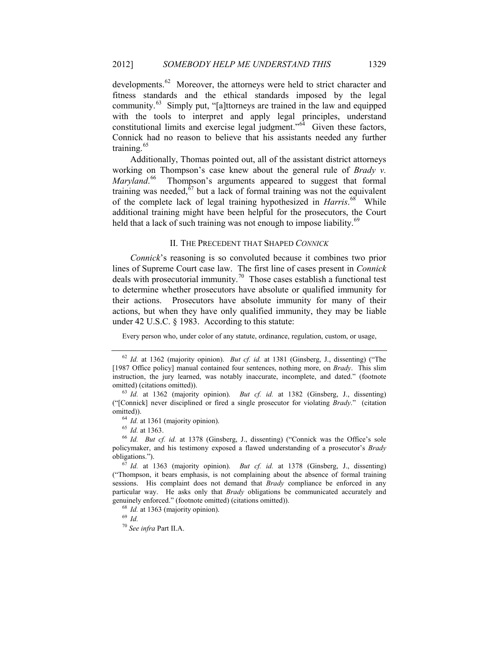developments.<sup>62</sup> Moreover, the attorneys were held to strict character and fitness standards and the ethical standards imposed by the legal community.63 Simply put, "[a]ttorneys are trained in the law and equipped with the tools to interpret and apply legal principles, understand constitutional limits and exercise legal judgment." $64$  Given these factors, Connick had no reason to believe that his assistants needed any further training. 65

Additionally, Thomas pointed out, all of the assistant district attorneys working on Thompson's case knew about the general rule of *Brady v.*  Maryland.<sup>66</sup> Thompson's arguments appeared to suggest that formal training was needed,  $67$  but a lack of formal training was not the equivalent of the complete lack of legal training hypothesized in *Harris*.<sup>68</sup> While additional training might have been helpful for the prosecutors, the Court held that a lack of such training was not enough to impose liability.<sup>69</sup>

#### II. THE PRECEDENT THAT SHAPED *CONNICK*

*Connick*'s reasoning is so convoluted because it combines two prior lines of Supreme Court case law. The first line of cases present in *Connick* deals with prosecutorial immunity.<sup>70</sup> Those cases establish a functional test to determine whether prosecutors have absolute or qualified immunity for their actions. Prosecutors have absolute immunity for many of their actions, but when they have only qualified immunity, they may be liable under 42 U.S.C. § 1983. According to this statute:

Every person who, under color of any statute, ordinance, regulation, custom, or usage,

<sup>62</sup> *Id.* at 1362 (majority opinion). *But cf. id.* at 1381 (Ginsberg, J., dissenting) ("The [1987 Office policy] manual contained four sentences, nothing more, on *Brady*. This slim instruction, the jury learned, was notably inaccurate, incomplete, and dated." (footnote omitted) (citations omitted)).

<sup>63</sup> *Id.* at 1362 (majority opinion). *But cf. id.* at 1382 (Ginsberg, J., dissenting) ("[Connick] never disciplined or fired a single prosecutor for violating *Brady*." (citation omitted)).

<sup>&</sup>lt;sup>64</sup> *Id.* at 1361 (majority opinion).

<sup>65</sup> *Id.* at 1363.

<sup>66</sup> *Id. But cf. id.* at 1378 (Ginsberg, J., dissenting) ("Connick was the Office's sole policymaker, and his testimony exposed a flawed understanding of a prosecutor's *Brady* obligations.").

<sup>67</sup> *Id.* at 1363 (majority opinion). *But cf. id.* at 1378 (Ginsberg, J., dissenting) ("Thompson, it bears emphasis, is not complaining about the absence of formal training sessions. His complaint does not demand that *Brady* compliance be enforced in any particular way. He asks only that *Brady* obligations be communicated accurately and genuinely enforced." (footnote omitted) (citations omitted)).

<sup>&</sup>lt;sup>68</sup> *Id.* at 1363 (majority opinion).

<sup>69</sup> *Id.*

<sup>70</sup> *See infra* Part II.A.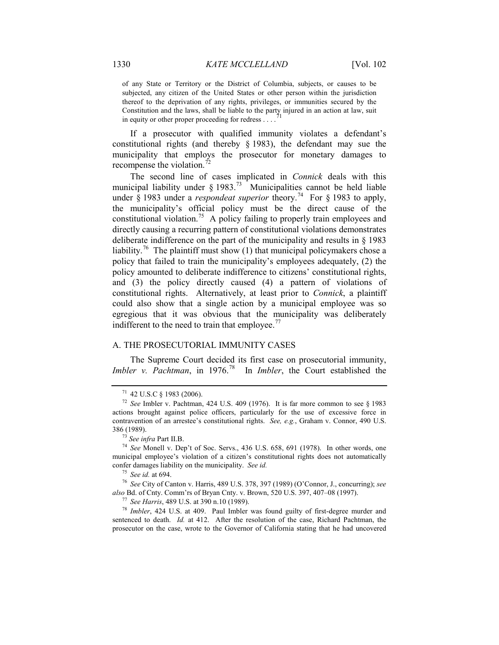of any State or Territory or the District of Columbia, subjects, or causes to be subjected, any citizen of the United States or other person within the jurisdiction thereof to the deprivation of any rights, privileges, or immunities secured by the Constitution and the laws, shall be liable to the party injured in an action at law, suit  $\frac{1}{1}$ in equity or other proper proceeding for redress . . . .

If a prosecutor with qualified immunity violates a defendant's constitutional rights (and thereby § 1983), the defendant may sue the municipality that employs the prosecutor for monetary damages to recompense the violation.<sup>72</sup>

The second line of cases implicated in *Connick* deals with this municipal liability under  $\S 1983$ .<sup>73</sup> Municipalities cannot be held liable under  $\hat{\S}$  1983 under a *respondeat superior* theory.<sup>74</sup> For  $\hat{\S}$  1983 to apply, the municipality's official policy must be the direct cause of the constitutional violation.<sup>75</sup> A policy failing to properly train employees and directly causing a recurring pattern of constitutional violations demonstrates deliberate indifference on the part of the municipality and results in § 1983 liability.<sup>76</sup> The plaintiff must show (1) that municipal policymakers chose a policy that failed to train the municipality's employees adequately, (2) the policy amounted to deliberate indifference to citizens' constitutional rights, and (3) the policy directly caused (4) a pattern of violations of constitutional rights. Alternatively, at least prior to *Connick*, a plaintiff could also show that a single action by a municipal employee was so egregious that it was obvious that the municipality was deliberately indifferent to the need to train that employee.<sup>77</sup>

### A. THE PROSECUTORIAL IMMUNITY CASES

The Supreme Court decided its first case on prosecutorial immunity, *Imbler v. Pachtman*, in 1976.<sup>78</sup> In *Imbler*, the Court established the

<sup>78</sup> *Imbler*, 424 U.S. at 409. Paul Imbler was found guilty of first-degree murder and sentenced to death. *Id.* at 412. After the resolution of the case, Richard Pachtman, the prosecutor on the case, wrote to the Governor of California stating that he had uncovered

<sup>71</sup> 42 U.S.C § 1983 (2006).

<sup>72</sup> *See* Imbler v. Pachtman, 424 U.S. 409 (1976). It is far more common to see § 1983 actions brought against police officers, particularly for the use of excessive force in contravention of an arrestee's constitutional rights. *See, e.g.*, Graham v. Connor, 490 U.S. 386 (1989).

<sup>73</sup> *See infra* Part II.B.

<sup>74</sup> *See* Monell v. Dep't of Soc. Servs., 436 U.S. 658, 691 (1978). In other words, one municipal employee's violation of a citizen's constitutional rights does not automatically confer damages liability on the municipality. *See id.*

<sup>75</sup> *See id.* at 694.

<sup>76</sup> *See* City of Canton v. Harris, 489 U.S. 378, 397 (1989) (O'Connor, J., concurring); *see also* Bd. of Cnty. Comm'rs of Bryan Cnty. v. Brown, 520 U.S. 397, 407–08 (1997).

<sup>77</sup> *See Harris*, 489 U.S. at 390 n.10 (1989).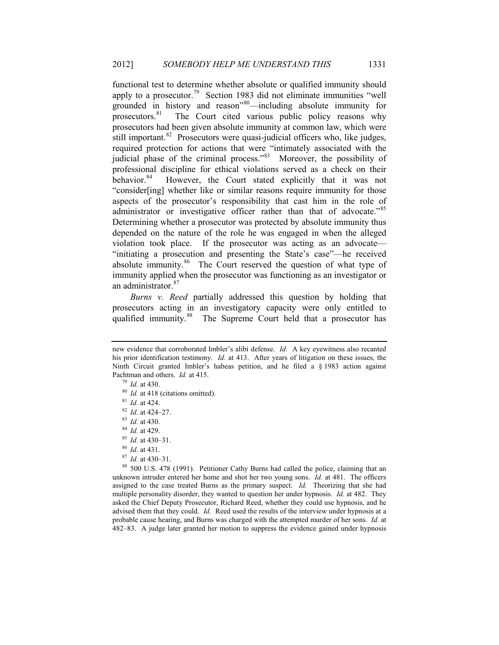functional test to determine whether absolute or qualified immunity should apply to a prosecutor.<sup>79</sup> Section 1983 did not eliminate immunities "well grounded in history and reason<sup>380</sup>—including absolute immunity for prosecutors.<sup>81</sup> The Court cited various public policy reasons why The Court cited various public policy reasons why prosecutors had been given absolute immunity at common law, which were still important.<sup>82</sup> Prosecutors were quasi-judicial officers who, like judges, required protection for actions that were "intimately associated with the judicial phase of the criminal process."<sup>83</sup> Moreover, the possibility of professional discipline for ethical violations served as a check on their behavior.<sup>84</sup> However, the Court stated explicitly that it was not However, the Court stated explicitly that it was not "consider[ing] whether like or similar reasons require immunity for those aspects of the prosecutor's responsibility that cast him in the role of administrator or investigative officer rather than that of advocate."85 Determining whether a prosecutor was protected by absolute immunity thus depended on the nature of the role he was engaged in when the alleged violation took place. If the prosecutor was acting as an advocate— "initiating a prosecution and presenting the State's case"—he received absolute immunity.<sup>86</sup> The Court reserved the question of what type of immunity applied when the prosecutor was functioning as an investigator or an administrator.<sup>87</sup>

*Burns v. Reed* partially addressed this question by holding that prosecutors acting in an investigatory capacity were only entitled to qualified immunity.<sup>88</sup> The Supreme Court held that a prosecutor has

- <sup>85</sup> *Id.* at 430–31.
- <sup>86</sup> *Id.* at 431.
- <sup>87</sup> *Id.* at 430–31.

<sup>88</sup> 500 U.S. 478 (1991). Petitioner Cathy Burns had called the police, claiming that an unknown intruder entered her home and shot her two young sons. *Id.* at 481. The officers assigned to the case treated Burns as the primary suspect. *Id.* Theorizing that she had multiple personality disorder, they wanted to question her under hypnosis. *Id.* at 482. They asked the Chief Deputy Prosecutor, Richard Reed, whether they could use hypnosis, and he advised them that they could. *Id.* Reed used the results of the interview under hypnosis at a probable cause hearing, and Burns was charged with the attempted murder of her sons. *Id.* at 482–83. A judge later granted her motion to suppress the evidence gained under hypnosis

new evidence that corroborated Imbler's alibi defense. *Id.* A key eyewitness also recanted his prior identification testimony. *Id.* at 413. After years of litigation on these issues, the Ninth Circuit granted Imbler's habeas petition, and he filed a § 1983 action against Pachtman and others. *Id.* at 415.

<sup>79</sup> *Id.* at 430.

<sup>&</sup>lt;sup>80</sup> *Id.* at 418 (citations omitted).

<sup>81</sup> *Id.* at 424.

<sup>82</sup> *Id.* at 424–27.

<sup>83</sup> *Id.* at 430.

<sup>84</sup> *Id.* at 429.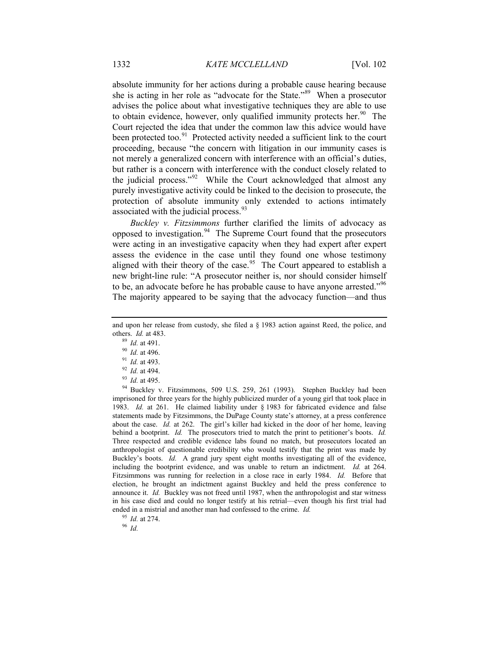absolute immunity for her actions during a probable cause hearing because she is acting in her role as "advocate for the State."89 When a prosecutor advises the police about what investigative techniques they are able to use to obtain evidence, however, only qualified immunity protects her. $90$  The Court rejected the idea that under the common law this advice would have been protected too. $91$  Protected activity needed a sufficient link to the court proceeding, because "the concern with litigation in our immunity cases is not merely a generalized concern with interference with an official's duties, but rather is a concern with interference with the conduct closely related to the judicial process."92 While the Court acknowledged that almost any purely investigative activity could be linked to the decision to prosecute, the protection of absolute immunity only extended to actions intimately associated with the judicial process.<sup>93</sup>

*Buckley v. Fitzsimmons* further clarified the limits of advocacy as opposed to investigation.<sup>94</sup> The Supreme Court found that the prosecutors were acting in an investigative capacity when they had expert after expert assess the evidence in the case until they found one whose testimony aligned with their theory of the case.<sup>95</sup> The Court appeared to establish a new bright-line rule: "A prosecutor neither is, nor should consider himself to be, an advocate before he has probable cause to have anyone arrested."96 The majority appeared to be saying that the advocacy function—and thus

<sup>94</sup> Buckley v. Fitzsimmons, 509 U.S. 259, 261 (1993). Stephen Buckley had been imprisoned for three years for the highly publicized murder of a young girl that took place in 1983. *Id.* at 261. He claimed liability under § 1983 for fabricated evidence and false statements made by Fitzsimmons, the DuPage County state's attorney, at a press conference about the case. *Id.* at 262. The girl's killer had kicked in the door of her home, leaving behind a bootprint. *Id.* The prosecutors tried to match the print to petitioner's boots. *Id.* Three respected and credible evidence labs found no match, but prosecutors located an anthropologist of questionable credibility who would testify that the print was made by Buckley's boots. *Id.* A grand jury spent eight months investigating all of the evidence, including the bootprint evidence, and was unable to return an indictment. *Id.* at 264. Fitzsimmons was running for reelection in a close race in early 1984. *Id.* Before that election, he brought an indictment against Buckley and held the press conference to announce it. *Id.* Buckley was not freed until 1987, when the anthropologist and star witness in his case died and could no longer testify at his retrial—even though his first trial had ended in a mistrial and another man had confessed to the crime. *Id.*

<sup>95</sup> *Id.* at 274.

<sup>96</sup> *Id.*

and upon her release from custody, she filed a § 1983 action against Reed, the police, and others. *Id.* at 483.

<sup>89</sup> *Id.* at 491.

<sup>90</sup> *Id.* at 496.

<sup>91</sup> *Id.* at 493.

<sup>92</sup> *Id.* at 494.

<sup>93</sup> *Id.* at 495.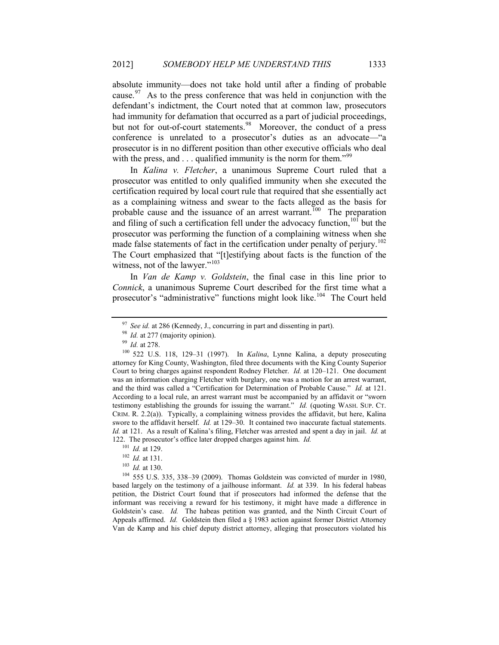absolute immunity—does not take hold until after a finding of probable cause.  $97$  As to the press conference that was held in conjunction with the defendant's indictment, the Court noted that at common law, prosecutors had immunity for defamation that occurred as a part of judicial proceedings, but not for out-of-court statements.<sup>98</sup> Moreover, the conduct of a press conference is unrelated to a prosecutor's duties as an advocate—"a prosecutor is in no different position than other executive officials who deal with the press, and  $\ldots$  qualified immunity is the norm for them."<sup>99</sup>

In *Kalina v. Fletcher*, a unanimous Supreme Court ruled that a prosecutor was entitled to only qualified immunity when she executed the certification required by local court rule that required that she essentially act as a complaining witness and swear to the facts alleged as the basis for probable cause and the issuance of an arrest warrant.<sup>100</sup> The preparation and filing of such a certification fell under the advocacy function, $101$  but the prosecutor was performing the function of a complaining witness when she made false statements of fact in the certification under penalty of perjury.<sup>102</sup> The Court emphasized that "[t]estifying about facts is the function of the witness, not of the lawyer."<sup>103</sup>

In *Van de Kamp v. Goldstein*, the final case in this line prior to *Connick*, a unanimous Supreme Court described for the first time what a prosecutor's "administrative" functions might look like.<sup>104</sup> The Court held

<sup>104</sup> 555 U.S. 335, 338–39 (2009). Thomas Goldstein was convicted of murder in 1980, based largely on the testimony of a jailhouse informant. *Id.* at 339. In his federal habeas petition, the District Court found that if prosecutors had informed the defense that the informant was receiving a reward for his testimony, it might have made a difference in Goldstein's case. *Id.* The habeas petition was granted, and the Ninth Circuit Court of Appeals affirmed. *Id.* Goldstein then filed a § 1983 action against former District Attorney Van de Kamp and his chief deputy district attorney, alleging that prosecutors violated his

<sup>&</sup>lt;sup>97</sup> *See id.* at 286 (Kennedy, J., concurring in part and dissenting in part).

<sup>&</sup>lt;sup>98</sup> *Id.* at 277 (majority opinion).

<sup>99</sup> *Id.* at 278.

<sup>100</sup> 522 U.S. 118, 129–31 (1997). In *Kalina*, Lynne Kalina, a deputy prosecuting attorney for King County, Washington, filed three documents with the King County Superior Court to bring charges against respondent Rodney Fletcher. *Id.* at 120–121. One document was an information charging Fletcher with burglary, one was a motion for an arrest warrant, and the third was called a "Certification for Determination of Probable Cause." *Id.* at 121. According to a local rule, an arrest warrant must be accompanied by an affidavit or "sworn testimony establishing the grounds for issuing the warrant." *Id.* (quoting WASH. SUP. CT. CRIM. R. 2.2(a)). Typically, a complaining witness provides the affidavit, but here, Kalina swore to the affidavit herself. *Id.* at 129–30. It contained two inaccurate factual statements. *Id.* at 121. As a result of Kalina's filing, Fletcher was arrested and spent a day in jail. *Id.* at 122. The prosecutor's office later dropped charges against him. *Id.*

<sup>101</sup> *Id.* at 129.

<sup>102</sup> *Id.* at 131.

<sup>103</sup> *Id.* at 130.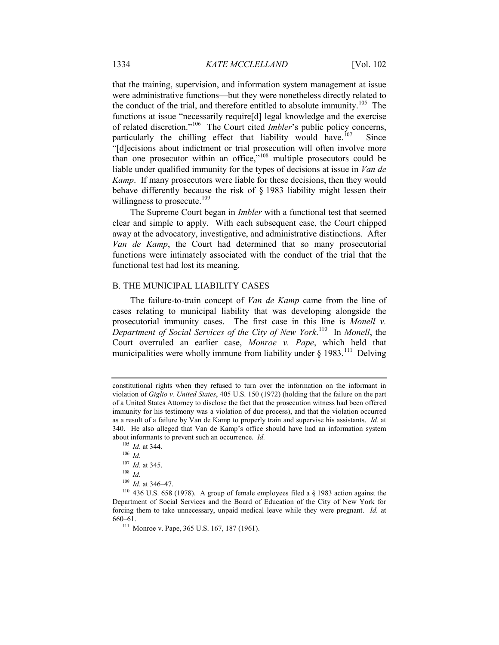that the training, supervision, and information system management at issue were administrative functions—but they were nonetheless directly related to the conduct of the trial, and therefore entitled to absolute immunity.<sup>105</sup> The functions at issue "necessarily require[d] legal knowledge and the exercise of related discretion."106 The Court cited *Imbler*'s public policy concerns, particularly the chilling effect that liability would have.<sup>107</sup> Since "[d]ecisions about indictment or trial prosecution will often involve more than one prosecutor within an office,<sup>"108</sup> multiple prosecutors could be liable under qualified immunity for the types of decisions at issue in *Van de Kamp*. If many prosecutors were liable for these decisions, then they would behave differently because the risk of § 1983 liability might lessen their willingness to prosecute.<sup>109</sup>

The Supreme Court began in *Imbler* with a functional test that seemed clear and simple to apply. With each subsequent case, the Court chipped away at the advocatory, investigative, and administrative distinctions. After *Van de Kamp*, the Court had determined that so many prosecutorial functions were intimately associated with the conduct of the trial that the functional test had lost its meaning.

#### B. THE MUNICIPAL LIABILITY CASES

The failure-to-train concept of *Van de Kamp* came from the line of cases relating to municipal liability that was developing alongside the prosecutorial immunity cases. The first case in this line is *Monell v. Department of Social Services of the City of New York*. <sup>110</sup> In *Monell*, the Court overruled an earlier case, *Monroe v. Pape*, which held that municipalities were wholly immune from liability under  $\S$  1983.<sup>111</sup> Delving

constitutional rights when they refused to turn over the information on the informant in violation of *Giglio v. United States*, 405 U.S. 150 (1972) (holding that the failure on the part of a United States Attorney to disclose the fact that the prosecution witness had been offered immunity for his testimony was a violation of due process), and that the violation occurred as a result of a failure by Van de Kamp to properly train and supervise his assistants. *Id.* at 340. He also alleged that Van de Kamp's office should have had an information system about informants to prevent such an occurrence. *Id.*

<sup>105</sup> *Id.* at 344.

<sup>106</sup> *Id.*

<sup>107</sup> *Id.* at 345.

<sup>108</sup> *Id.*

<sup>109</sup> *Id.* at 346–47.

<sup>110</sup> 436 U.S. 658 (1978). A group of female employees filed a § 1983 action against the Department of Social Services and the Board of Education of the City of New York for forcing them to take unnecessary, unpaid medical leave while they were pregnant. *Id.* at 660–61.

<sup>111</sup> Monroe v. Pape, 365 U.S. 167, 187 (1961).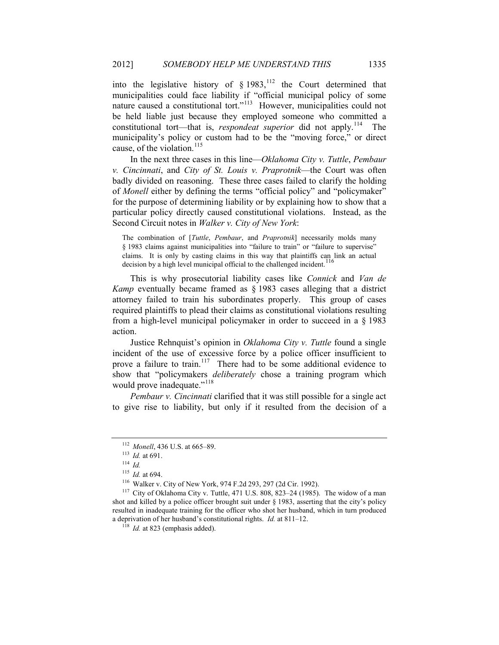into the legislative history of  $\S$  1983, <sup>112</sup> the Court determined that municipalities could face liability if "official municipal policy of some nature caused a constitutional tort."113 However, municipalities could not be held liable just because they employed someone who committed a constitutional tort—that is, *respondeat superior* did not apply.<sup>114</sup> municipality's policy or custom had to be the "moving force," or direct cause, of the violation. $115$ 

In the next three cases in this line—*Oklahoma City v. Tuttle*, *Pembaur v. Cincinnati*, and *City of St. Louis v. Praprotnik*—the Court was often badly divided on reasoning. These three cases failed to clarify the holding of *Monell* either by defining the terms "official policy" and "policymaker" for the purpose of determining liability or by explaining how to show that a particular policy directly caused constitutional violations. Instead, as the Second Circuit notes in *Walker v. City of New York*:

The combination of [*Tuttle*, *Pembaur*, and *Praprotnik*] necessarily molds many § 1983 claims against municipalities into "failure to train" or "failure to supervise" claims. It is only by casting claims in this way that plaintiffs can link an actual decision by a high level municipal official to the challenged incident.<sup>1</sup>

This is why prosecutorial liability cases like *Connick* and *Van de Kamp* eventually became framed as § 1983 cases alleging that a district attorney failed to train his subordinates properly. This group of cases required plaintiffs to plead their claims as constitutional violations resulting from a high-level municipal policymaker in order to succeed in a § 1983 action.

Justice Rehnquist's opinion in *Oklahoma City v. Tuttle* found a single incident of the use of excessive force by a police officer insufficient to prove a failure to train.<sup>117</sup> There had to be some additional evidence to show that "policymakers *deliberately* chose a training program which would prove inadequate."<sup>118</sup>

*Pembaur v. Cincinnati* clarified that it was still possible for a single act to give rise to liability, but only if it resulted from the decision of a

<sup>112</sup> *Monell*, 436 U.S. at 665–89.

<sup>113</sup> *Id.* at 691.

<sup>114</sup> *Id.*

<sup>115</sup> *Id.* at 694.

<sup>116</sup> Walker v. City of New York, 974 F.2d 293, 297 (2d Cir. 1992).

<sup>117</sup> City of Oklahoma City v. Tuttle, 471 U.S. 808, 823–24 (1985). The widow of a man shot and killed by a police officer brought suit under § 1983, asserting that the city's policy resulted in inadequate training for the officer who shot her husband, which in turn produced a deprivation of her husband's constitutional rights. *Id.* at 811–12.

<sup>&</sup>lt;sup>118</sup> *Id.* at 823 (emphasis added).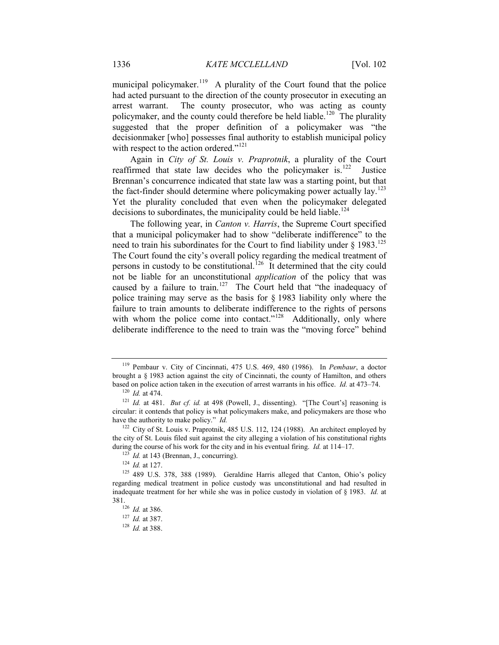municipal policymaker.<sup>119</sup> A plurality of the Court found that the police had acted pursuant to the direction of the county prosecutor in executing an arrest warrant. The county prosecutor, who was acting as county policymaker, and the county could therefore be held liable.<sup>120</sup> The plurality suggested that the proper definition of a policymaker was "the decisionmaker [who] possesses final authority to establish municipal policy with respect to the action ordered."<sup>121</sup>

Again in *City of St. Louis v. Praprotnik*, a plurality of the Court reaffirmed that state law decides who the policymaker is.<sup>122</sup> Justice Brennan's concurrence indicated that state law was a starting point, but that the fact-finder should determine where policymaking power actually lay.<sup>123</sup> Yet the plurality concluded that even when the policymaker delegated decisions to subordinates, the municipality could be held liable.<sup>124</sup>

The following year, in *Canton v. Harris*, the Supreme Court specified that a municipal policymaker had to show "deliberate indifference" to the need to train his subordinates for the Court to find liability under  $\S$  1983.<sup>125</sup> The Court found the city's overall policy regarding the medical treatment of persons in custody to be constitutional.<sup>126</sup> It determined that the city could not be liable for an unconstitutional *application* of the policy that was caused by a failure to train.<sup>127</sup> The Court held that "the inadequacy of police training may serve as the basis for § 1983 liability only where the failure to train amounts to deliberate indifference to the rights of persons with whom the police come into contact."<sup>128</sup> Additionally, only where deliberate indifference to the need to train was the "moving force" behind

<sup>119</sup> Pembaur v. City of Cincinnati, 475 U.S. 469, 480 (1986). In *Pembaur*, a doctor brought a § 1983 action against the city of Cincinnati, the county of Hamilton, and others based on police action taken in the execution of arrest warrants in his office. *Id.* at 473–74.

<sup>120</sup> *Id.* at 474.

<sup>121</sup> *Id.* at 481. *But cf. id.* at 498 (Powell, J., dissenting). "[The Court's] reasoning is circular: it contends that policy is what policymakers make, and policymakers are those who have the authority to make policy." *Id.*

<sup>&</sup>lt;sup>122</sup> City of St. Louis v. Praprotnik, 485 U.S. 112, 124 (1988). An architect employed by the city of St. Louis filed suit against the city alleging a violation of his constitutional rights during the course of his work for the city and in his eventual firing. *Id.* at 114–17.

 $123$  *Id.* at 143 (Brennan, J., concurring).

<sup>124</sup> *Id.* at 127.

 $125$  489 U.S. 378, 388 (1989). Geraldine Harris alleged that Canton, Ohio's policy regarding medical treatment in police custody was unconstitutional and had resulted in inadequate treatment for her while she was in police custody in violation of § 1983. *Id.* at 381.126 *Id.* at 386.

<sup>127</sup> *Id.* at 387.

<sup>128</sup> *Id.* at 388.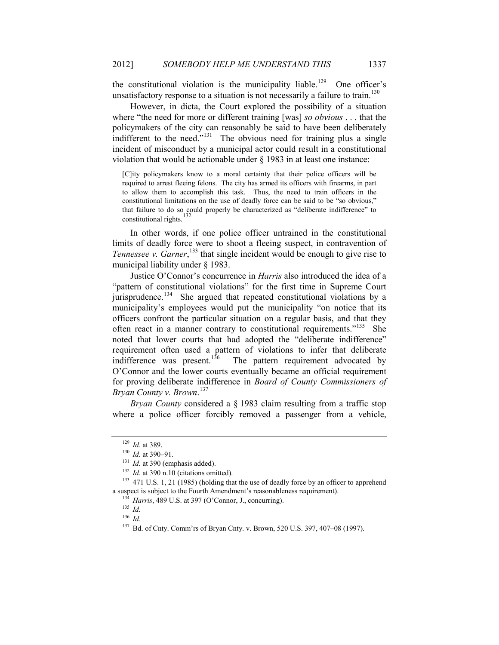the constitutional violation is the municipality liable.<sup>129</sup> One officer's unsatisfactory response to a situation is not necessarily a failure to train.<sup>130</sup>

However, in dicta, the Court explored the possibility of a situation where "the need for more or different training [was] *so obvious* . . . that the policymakers of the city can reasonably be said to have been deliberately indifferent to the need." $131$  The obvious need for training plus a single incident of misconduct by a municipal actor could result in a constitutional violation that would be actionable under § 1983 in at least one instance:

[C]ity policymakers know to a moral certainty that their police officers will be required to arrest fleeing felons. The city has armed its officers with firearms, in part to allow them to accomplish this task. Thus, the need to train officers in the constitutional limitations on the use of deadly force can be said to be "so obvious," that failure to do so could properly be characterized as "deliberate indifference" to constitutional rights.<sup>132</sup>

In other words, if one police officer untrained in the constitutional limits of deadly force were to shoot a fleeing suspect, in contravention of Tennessee v. Garner,<sup>133</sup> that single incident would be enough to give rise to municipal liability under § 1983.

Justice O'Connor's concurrence in *Harris* also introduced the idea of a "pattern of constitutional violations" for the first time in Supreme Court jurisprudence.<sup>134</sup> She argued that repeated constitutional violations by a municipality's employees would put the municipality "on notice that its officers confront the particular situation on a regular basis, and that they often react in a manner contrary to constitutional requirements."<sup>135</sup> She noted that lower courts that had adopted the "deliberate indifference" requirement often used a pattern of violations to infer that deliberate indifference was present.<sup>136</sup> The pattern requirement advocated by The pattern requirement advocated by O'Connor and the lower courts eventually became an official requirement for proving deliberate indifference in *Board of County Commissioners of Bryan County v. Brown*. 137

*Bryan County* considered a § 1983 claim resulting from a traffic stop where a police officer forcibly removed a passenger from a vehicle,

<sup>129</sup> *Id.* at 389.

<sup>130</sup> *Id.* at 390–91.

<sup>&</sup>lt;sup>131</sup> *Id.* at 390 (emphasis added).

<sup>&</sup>lt;sup>132</sup> *Id.* at 390 n.10 (citations omitted).

<sup>133</sup> 471 U.S. 1, 21 (1985) (holding that the use of deadly force by an officer to apprehend a suspect is subject to the Fourth Amendment's reasonableness requirement).

<sup>134</sup> *Harris*, 489 U.S. at 397 (O'Connor, J., concurring).

<sup>135</sup> *Id.*

<sup>136</sup> *Id.*

<sup>137</sup> Bd. of Cnty. Comm'rs of Bryan Cnty. v. Brown, 520 U.S. 397, 407–08 (1997).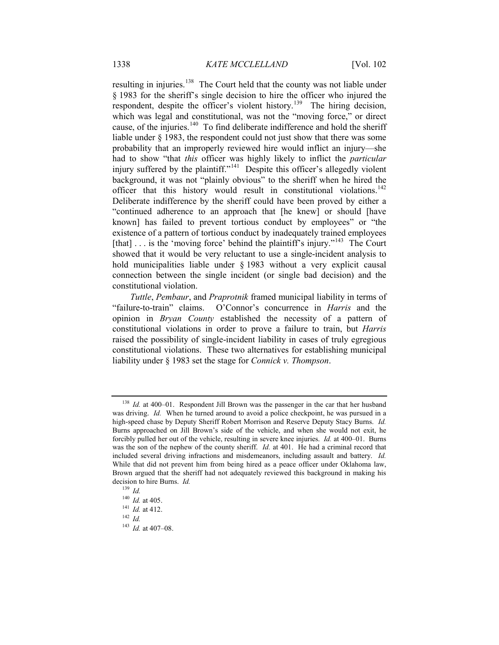resulting in injuries.<sup>138</sup> The Court held that the county was not liable under § 1983 for the sheriff's single decision to hire the officer who injured the respondent, despite the officer's violent history.<sup>139</sup> The hiring decision, which was legal and constitutional, was not the "moving force," or direct cause, of the injuries.<sup>140</sup> To find deliberate indifference and hold the sheriff liable under § 1983, the respondent could not just show that there was some probability that an improperly reviewed hire would inflict an injury—she had to show "that *this* officer was highly likely to inflict the *particular* injury suffered by the plaintiff."<sup>141</sup> Despite this officer's allegedly violent background, it was not "plainly obvious" to the sheriff when he hired the officer that this history would result in constitutional violations.<sup>142</sup> Deliberate indifference by the sheriff could have been proved by either a "continued adherence to an approach that [he knew] or should [have known] has failed to prevent tortious conduct by employees" or "the existence of a pattern of tortious conduct by inadequately trained employees [that]  $\ldots$  is the 'moving force' behind the plaintiff's injury."<sup>143</sup> The Court showed that it would be very reluctant to use a single-incident analysis to hold municipalities liable under § 1983 without a very explicit causal connection between the single incident (or single bad decision) and the constitutional violation.

*Tuttle*, *Pembaur*, and *Praprotnik* framed municipal liability in terms of "failure-to-train" claims. O'Connor's concurrence in *Harris* and the opinion in *Bryan County* established the necessity of a pattern of constitutional violations in order to prove a failure to train, but *Harris* raised the possibility of single-incident liability in cases of truly egregious constitutional violations. These two alternatives for establishing municipal liability under § 1983 set the stage for *Connick v. Thompson*.

<sup>&</sup>lt;sup>138</sup> *Id.* at 400–01. Respondent Jill Brown was the passenger in the car that her husband was driving. *Id.* When he turned around to avoid a police checkpoint, he was pursued in a high-speed chase by Deputy Sheriff Robert Morrison and Reserve Deputy Stacy Burns. *Id.*  Burns approached on Jill Brown's side of the vehicle, and when she would not exit, he forcibly pulled her out of the vehicle, resulting in severe knee injuries. *Id.* at 400–01. Burns was the son of the nephew of the county sheriff. *Id.* at 401. He had a criminal record that included several driving infractions and misdemeanors, including assault and battery. *Id.* While that did not prevent him from being hired as a peace officer under Oklahoma law, Brown argued that the sheriff had not adequately reviewed this background in making his decision to hire Burns. *Id.*

<sup>139</sup> *Id.*

<sup>140</sup> *Id.* at 405.

<sup>141</sup> *Id.* at 412.

<sup>142</sup> *Id.*

<sup>143</sup> *Id.* at 407–08.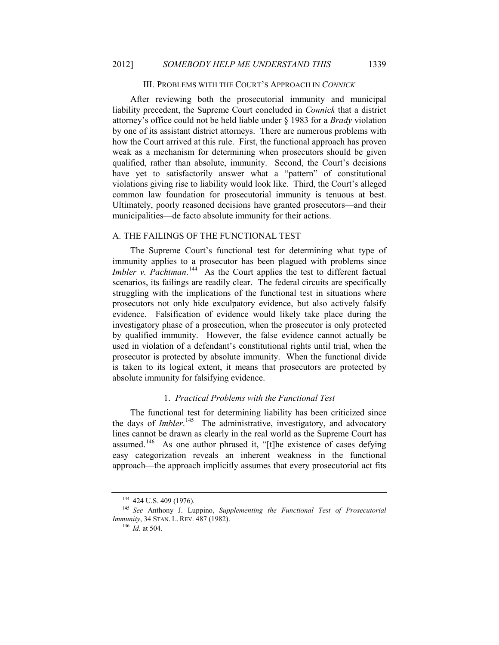#### III. PROBLEMS WITH THE COURT'S APPROACH IN *CONNICK*

After reviewing both the prosecutorial immunity and municipal liability precedent, the Supreme Court concluded in *Connick* that a district attorney's office could not be held liable under § 1983 for a *Brady* violation by one of its assistant district attorneys. There are numerous problems with how the Court arrived at this rule. First, the functional approach has proven weak as a mechanism for determining when prosecutors should be given qualified, rather than absolute, immunity. Second, the Court's decisions have yet to satisfactorily answer what a "pattern" of constitutional violations giving rise to liability would look like. Third, the Court's alleged common law foundation for prosecutorial immunity is tenuous at best. Ultimately, poorly reasoned decisions have granted prosecutors—and their municipalities—de facto absolute immunity for their actions.

#### A. THE FAILINGS OF THE FUNCTIONAL TEST

The Supreme Court's functional test for determining what type of immunity applies to a prosecutor has been plagued with problems since *Imbler v. Pachtman.*<sup>144</sup> As the Court applies the test to different factual scenarios, its failings are readily clear. The federal circuits are specifically struggling with the implications of the functional test in situations where prosecutors not only hide exculpatory evidence, but also actively falsify evidence. Falsification of evidence would likely take place during the investigatory phase of a prosecution, when the prosecutor is only protected by qualified immunity. However, the false evidence cannot actually be used in violation of a defendant's constitutional rights until trial, when the prosecutor is protected by absolute immunity. When the functional divide is taken to its logical extent, it means that prosecutors are protected by absolute immunity for falsifying evidence.

# 1. *Practical Problems with the Functional Test*

The functional test for determining liability has been criticized since the days of *Imbler*. 145 The administrative, investigatory, and advocatory lines cannot be drawn as clearly in the real world as the Supreme Court has assumed.<sup>146</sup> As one author phrased it, "[t]he existence of cases defying easy categorization reveals an inherent weakness in the functional approach—the approach implicitly assumes that every prosecutorial act fits

<sup>&</sup>lt;sup>144</sup> 424 U.S. 409 (1976).

<sup>145</sup> *See* Anthony J. Luppino, *Supplementing the Functional Test of Prosecutorial Immunity*, 34 STAN. L. REV. 487 (1982).

<sup>146</sup> *Id.* at 504.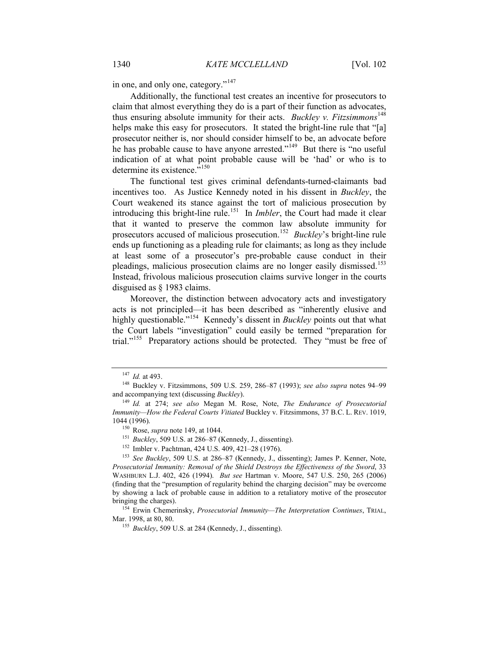in one, and only one, category."<sup>147</sup>

Additionally, the functional test creates an incentive for prosecutors to claim that almost everything they do is a part of their function as advocates, thus ensuring absolute immunity for their acts. *Buckley v. Fitzsimmons*<sup>148</sup> helps make this easy for prosecutors. It stated the bright-line rule that "[a] prosecutor neither is, nor should consider himself to be, an advocate before he has probable cause to have anyone arrested."<sup>149</sup> But there is "no useful" indication of at what point probable cause will be 'had' or who is to determine its existence.<sup>5150</sup>

The functional test gives criminal defendants-turned-claimants bad incentives too. As Justice Kennedy noted in his dissent in *Buckley*, the Court weakened its stance against the tort of malicious prosecution by introducing this bright-line rule.<sup>151</sup> In *Imbler*, the Court had made it clear that it wanted to preserve the common law absolute immunity for prosecutors accused of malicious prosecution.<sup>152</sup> *Buckley*'s bright-line rule ends up functioning as a pleading rule for claimants; as long as they include at least some of a prosecutor's pre-probable cause conduct in their pleadings, malicious prosecution claims are no longer easily dismissed.<sup>153</sup> Instead, frivolous malicious prosecution claims survive longer in the courts disguised as § 1983 claims.

Moreover, the distinction between advocatory acts and investigatory acts is not principled—it has been described as "inherently elusive and highly questionable."<sup>154</sup> Kennedy's dissent in *Buckley* points out that what the Court labels "investigation" could easily be termed "preparation for trial."155 Preparatory actions should be protected. They "must be free of

<sup>154</sup> Erwin Chemerinsky, *Prosecutorial Immunity—The Interpretation Continues*, TRIAL, Mar. 1998, at 80, 80.

<sup>155</sup> *Buckley*, 509 U.S. at 284 (Kennedy, J., dissenting).

<sup>147</sup> *Id.* at 493.

<sup>148</sup> Buckley v. Fitzsimmons, 509 U.S. 259, 286–87 (1993); *see also supra* notes 94–99 and accompanying text (discussing *Buckley*).

<sup>149</sup> *Id.* at 274; *see also* Megan M. Rose, Note, *The Endurance of Prosecutorial Immunity—How the Federal Courts Vitiated* Buckley v. Fitzsimmons, 37 B.C. L. REV. 1019, 1044 (1996).

<sup>150</sup> Rose, *supra* note 149, at 1044.

<sup>&</sup>lt;sup>151</sup> *Buckley*, 509 U.S. at 286–87 (Kennedy, J., dissenting).

<sup>152</sup> Imbler v. Pachtman, 424 U.S. 409, 421–28 (1976).

<sup>153</sup> *See Buckley*, 509 U.S. at 286–87 (Kennedy, J., dissenting); James P. Kenner, Note, *Prosecutorial Immunity: Removal of the Shield Destroys the Effectiveness of the Sword*, 33 WASHBURN L.J. 402, 426 (1994). *But see* Hartman v. Moore, 547 U.S. 250, 265 (2006) (finding that the "presumption of regularity behind the charging decision" may be overcome by showing a lack of probable cause in addition to a retaliatory motive of the prosecutor bringing the charges).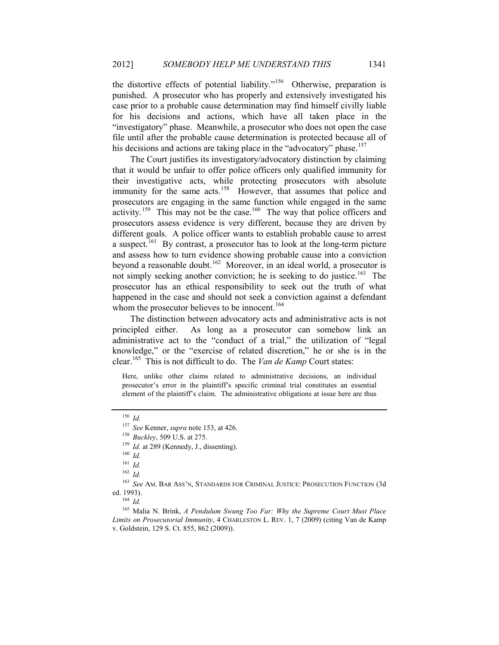the distortive effects of potential liability."<sup>156</sup> Otherwise, preparation is punished. A prosecutor who has properly and extensively investigated his case prior to a probable cause determination may find himself civilly liable for his decisions and actions, which have all taken place in the "investigatory" phase. Meanwhile, a prosecutor who does not open the case file until after the probable cause determination is protected because all of his decisions and actions are taking place in the "advocatory" phase.<sup>157</sup>

The Court justifies its investigatory/advocatory distinction by claiming that it would be unfair to offer police officers only qualified immunity for their investigative acts, while protecting prosecutors with absolute immunity for the same acts.<sup>158</sup> However, that assumes that police and prosecutors are engaging in the same function while engaged in the same activity.<sup>159</sup> This may not be the case.<sup>160</sup> The way that police officers and prosecutors assess evidence is very different, because they are driven by different goals. A police officer wants to establish probable cause to arrest a suspect.161 By contrast, a prosecutor has to look at the long-term picture and assess how to turn evidence showing probable cause into a conviction beyond a reasonable doubt.<sup>162</sup> Moreover, in an ideal world, a prosecutor is not simply seeking another conviction; he is seeking to do justice.<sup>163</sup> The prosecutor has an ethical responsibility to seek out the truth of what happened in the case and should not seek a conviction against a defendant whom the prosecutor believes to be innocent.<sup>164</sup>

The distinction between advocatory acts and administrative acts is not principled either. As long as a prosecutor can somehow link an administrative act to the "conduct of a trial," the utilization of "legal knowledge," or the "exercise of related discretion," he or she is in the clear.165 This is not difficult to do. The *Van de Kamp* Court states:

Here, unlike other claims related to administrative decisions, an individual prosecutor's error in the plaintiff's specific criminal trial constitutes an essential element of the plaintiff's claim. The administrative obligations at issue here are thus

<sup>162</sup> *Id.*

<sup>163</sup> *See* AM. BAR ASS'N, STANDARDS FOR CRIMINAL JUSTICE: PROSECUTION FUNCTION (3d ed. 1993).

<sup>165</sup> Malia N. Brink, *A Pendulum Swung Too Far: Why the Supreme Court Must Place Limits on Prosecutorial Immunity*, 4 CHARLESTON L. REV. 1, 7 (2009) (citing Van de Kamp v. Goldstein, 129 S. Ct. 855, 862 (2009)).

<sup>156</sup> *Id.*

<sup>157</sup> *See* Kenner, *supra* note 153, at 426.

<sup>158</sup> *Buckley*, 509 U.S. at 275.

<sup>&</sup>lt;sup>159</sup> *Id.* at 289 (Kennedy, J., dissenting).

<sup>160</sup> *Id.*

<sup>161</sup> *Id.*

<sup>164</sup> *Id.*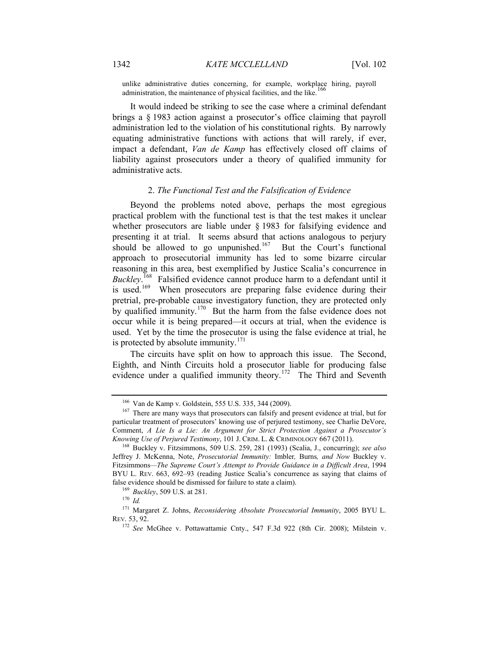unlike administrative duties concerning, for example, workplace hiring, payroll administration, the maintenance of physical facilities, and the like.<sup>1</sup>

It would indeed be striking to see the case where a criminal defendant brings a § 1983 action against a prosecutor's office claiming that payroll administration led to the violation of his constitutional rights. By narrowly equating administrative functions with actions that will rarely, if ever, impact a defendant, *Van de Kamp* has effectively closed off claims of liability against prosecutors under a theory of qualified immunity for administrative acts.

#### 2. *The Functional Test and the Falsification of Evidence*

Beyond the problems noted above, perhaps the most egregious practical problem with the functional test is that the test makes it unclear whether prosecutors are liable under § 1983 for falsifying evidence and presenting it at trial. It seems absurd that actions analogous to perjury should be allowed to go unpunished.<sup>167</sup> But the Court's functional approach to prosecutorial immunity has led to some bizarre circular reasoning in this area, best exemplified by Justice Scalia's concurrence in *Buckley*. 168 Falsified evidence cannot produce harm to a defendant until it biencey. There evidence can be proparing false evidence during their<br>is used.<sup>169</sup> When prosecutors are preparing false evidence during their pretrial, pre-probable cause investigatory function, they are protected only by qualified immunity.<sup>170</sup> But the harm from the false evidence does not occur while it is being prepared—it occurs at trial, when the evidence is used. Yet by the time the prosecutor is using the false evidence at trial, he is protected by absolute immunity. $171$ 

The circuits have split on how to approach this issue. The Second, Eighth, and Ninth Circuits hold a prosecutor liable for producing false evidence under a qualified immunity theory.<sup>172</sup> The Third and Seventh

<sup>166</sup> Van de Kamp v. Goldstein, 555 U.S. 335, 344 (2009).

<sup>&</sup>lt;sup>167</sup> There are many ways that prosecutors can falsify and present evidence at trial, but for particular treatment of prosecutors' knowing use of perjured testimony, see Charlie DeVore, Comment, *A Lie Is a Lie: An Argument for Strict Protection Against a Prosecutor's Knowing Use of Perjured Testimony*, 101 J. CRIM. L. & CRIMINOLOGY 667 (2011).

<sup>168</sup> Buckley v. Fitzsimmons, 509 U.S. 259, 281 (1993) (Scalia, J., concurring); *see also*  Jeffrey J. McKenna, Note, *Prosecutorial Immunity:* Imbler*,* Burns*, and Now* Buckley v. Fitzsimmons*—The Supreme Court's Attempt to Provide Guidance in a Difficult Area*, 1994 BYU L. REV. 663, 692–93 (reading Justice Scalia's concurrence as saying that claims of false evidence should be dismissed for failure to state a claim).

<sup>169</sup> *Buckley*, 509 U.S. at 281.

<sup>170</sup> *Id.*

<sup>171</sup> Margaret Z. Johns, *Reconsidering Absolute Prosecutorial Immunity*, 2005 BYU L. REV. 53, 92.

<sup>172</sup> *See* McGhee v. Pottawattamie Cnty., 547 F.3d 922 (8th Cir. 2008); Milstein v.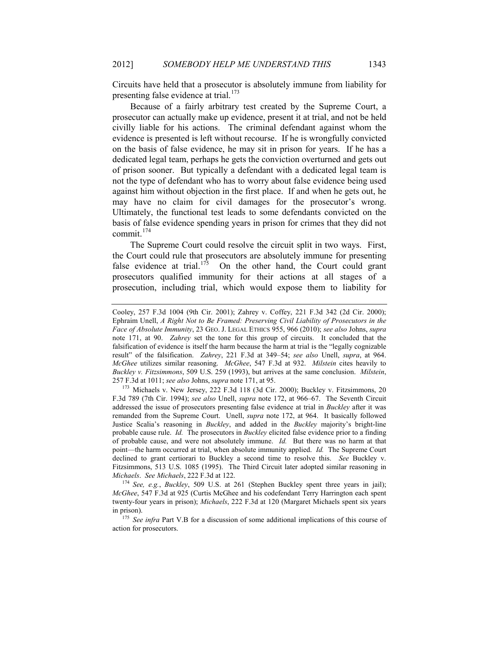Circuits have held that a prosecutor is absolutely immune from liability for presenting false evidence at trial.<sup>173</sup>

Because of a fairly arbitrary test created by the Supreme Court, a prosecutor can actually make up evidence, present it at trial, and not be held civilly liable for his actions. The criminal defendant against whom the evidence is presented is left without recourse. If he is wrongfully convicted on the basis of false evidence, he may sit in prison for years. If he has a dedicated legal team, perhaps he gets the conviction overturned and gets out of prison sooner. But typically a defendant with a dedicated legal team is not the type of defendant who has to worry about false evidence being used against him without objection in the first place. If and when he gets out, he may have no claim for civil damages for the prosecutor's wrong. Ultimately, the functional test leads to some defendants convicted on the basis of false evidence spending years in prison for crimes that they did not commit.<sup>174</sup>

The Supreme Court could resolve the circuit split in two ways. First, the Court could rule that prosecutors are absolutely immune for presenting false evidence at trial.<sup>175</sup> On the other hand, the Court could grant prosecutors qualified immunity for their actions at all stages of a prosecution, including trial, which would expose them to liability for

Cooley, 257 F.3d 1004 (9th Cir. 2001); Zahrey v. Coffey, 221 F.3d 342 (2d Cir. 2000); Ephraim Unell, *A Right Not to Be Framed: Preserving Civil Liability of Prosecutors in the Face of Absolute Immunity*, 23 GEO. J. LEGAL ETHICS 955, 966 (2010); *see also* Johns, *supra* note 171, at 90. *Zahrey* set the tone for this group of circuits. It concluded that the falsification of evidence is itself the harm because the harm at trial is the "legally cognizable result" of the falsification. *Zahrey*, 221 F.3d at 349–54; *see also* Unell, *supra*, at 964. *McGhee* utilizes similar reasoning. *McGhee*, 547 F.3d at 932. *Milstein* cites heavily to *Buckley v. Fitzsimmons*, 509 U.S. 259 (1993), but arrives at the same conclusion. *Milstein*, 257 F.3d at 1011; *see also* Johns, *supra* note 171, at 95.

<sup>173</sup> Michaels v. New Jersey, 222 F.3d 118 (3d Cir. 2000); Buckley v. Fitzsimmons, 20 F.3d 789 (7th Cir. 1994); *see also* Unell, *supra* note 172, at 966–67. The Seventh Circuit addressed the issue of prosecutors presenting false evidence at trial in *Buckley* after it was remanded from the Supreme Court. Unell, *supra* note 172, at 964.It basically followed Justice Scalia's reasoning in *Buckley*, and added in the *Buckley* majority's bright-line probable cause rule. *Id.* The prosecutors in *Buckley* elicited false evidence prior to a finding of probable cause, and were not absolutely immune. *Id.* But there was no harm at that point—the harm occurred at trial, when absolute immunity applied. *Id.* The Supreme Court declined to grant certiorari to Buckley a second time to resolve this. *See* Buckley v. Fitzsimmons, 513 U.S. 1085 (1995). The Third Circuit later adopted similar reasoning in *Michaels*. *See Michaels*, 222 F.3d at 122.

<sup>174</sup> *See, e.g.*, *Buckley*, 509 U.S. at 261 (Stephen Buckley spent three years in jail); *McGhee*, 547 F.3d at 925 (Curtis McGhee and his codefendant Terry Harrington each spent twenty-four years in prison); *Michaels*, 222 F.3d at 120 (Margaret Michaels spent six years in prison).

<sup>&</sup>lt;sup>175</sup> See infra Part V.B for a discussion of some additional implications of this course of action for prosecutors.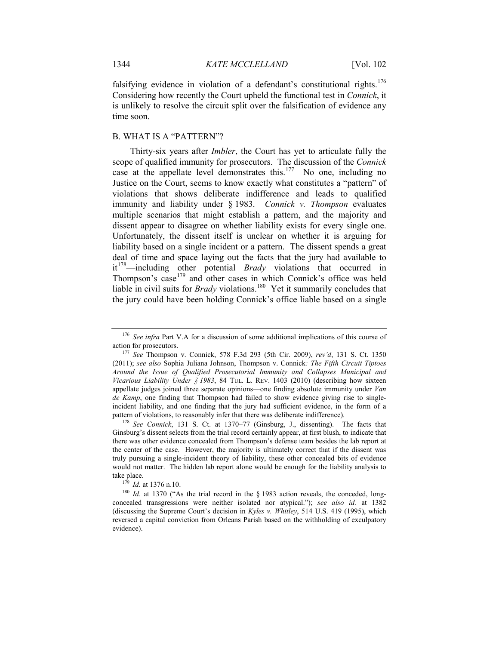falsifying evidence in violation of a defendant's constitutional rights.<sup>176</sup> Considering how recently the Court upheld the functional test in *Connick*, it is unlikely to resolve the circuit split over the falsification of evidence any time soon.

# B. WHAT IS A "PATTERN"?

Thirty-six years after *Imbler*, the Court has yet to articulate fully the scope of qualified immunity for prosecutors. The discussion of the *Connick* case at the appellate level demonstrates this.<sup>177</sup> No one, including no Justice on the Court, seems to know exactly what constitutes a "pattern" of violations that shows deliberate indifference and leads to qualified immunity and liability under § 1983. *Connick v. Thompson* evaluates multiple scenarios that might establish a pattern, and the majority and dissent appear to disagree on whether liability exists for every single one. Unfortunately, the dissent itself is unclear on whether it is arguing for liability based on a single incident or a pattern. The dissent spends a great deal of time and space laying out the facts that the jury had available to it178—including other potential *Brady* violations that occurred in Thompson's case<sup>179</sup> and other cases in which Connick's office was held liable in civil suits for *Brady* violations.<sup>180</sup> Yet it summarily concludes that the jury could have been holding Connick's office liable based on a single

<sup>&</sup>lt;sup>176</sup> *See infra* Part V.A for a discussion of some additional implications of this course of action for prosecutors.

<sup>177</sup> *See* Thompson v. Connick, 578 F.3d 293 (5th Cir. 2009), *rev'd*, 131 S. Ct. 1350 (2011); *see also* Sophia Juliana Johnson, Thompson v. Connick*: The Fifth Circuit Tiptoes Around the Issue of Qualified Prosecutorial Immunity and Collapses Municipal and Vicarious Liability Under § 1983*, 84 TUL. L. REV. 1403 (2010) (describing how sixteen appellate judges joined three separate opinions—one finding absolute immunity under *Van de Kamp*, one finding that Thompson had failed to show evidence giving rise to singleincident liability, and one finding that the jury had sufficient evidence, in the form of a pattern of violations, to reasonably infer that there was deliberate indifference).

<sup>178</sup> *See Connick*, 131 S. Ct. at 1370–77 (Ginsburg, J., dissenting). The facts that Ginsburg's dissent selects from the trial record certainly appear, at first blush, to indicate that there was other evidence concealed from Thompson's defense team besides the lab report at the center of the case. However, the majority is ultimately correct that if the dissent was truly pursuing a single-incident theory of liability, these other concealed bits of evidence would not matter. The hidden lab report alone would be enough for the liability analysis to take place.

<sup>179</sup> *Id.* at 1376 n.10.

<sup>&</sup>lt;sup>180</sup> *Id.* at 1370 ("As the trial record in the § 1983 action reveals, the conceded, longconcealed transgressions were neither isolated nor atypical."); *see also id.* at 1382 (discussing the Supreme Court's decision in *Kyles v. Whitley*, 514 U.S. 419 (1995), which reversed a capital conviction from Orleans Parish based on the withholding of exculpatory evidence).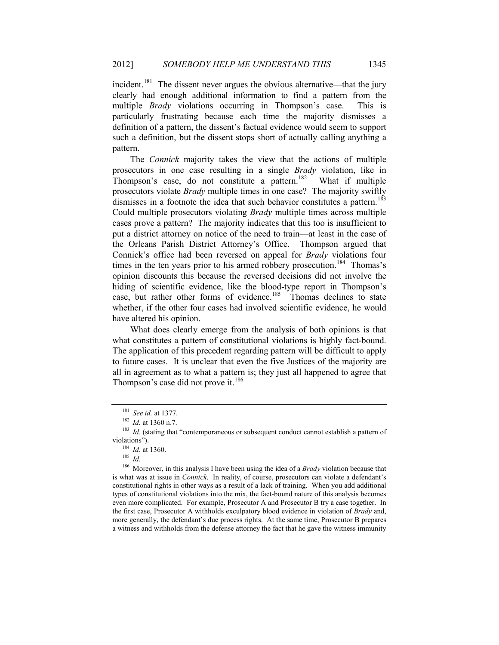incident.<sup>181</sup> The dissent never argues the obvious alternative—that the jury clearly had enough additional information to find a pattern from the multiple *Brady* violations occurring in Thompson's case. This is particularly frustrating because each time the majority dismisses a definition of a pattern, the dissent's factual evidence would seem to support such a definition, but the dissent stops short of actually calling anything a pattern.

The *Connick* majority takes the view that the actions of multiple prosecutors in one case resulting in a single *Brady* violation, like in Thompson's case, do not constitute a pattern.<sup>182</sup> What if multiple prosecutors violate *Brady* multiple times in one case? The majority swiftly dismisses in a footnote the idea that such behavior constitutes a pattern.<sup>183</sup> Could multiple prosecutors violating *Brady* multiple times across multiple cases prove a pattern? The majority indicates that this too is insufficient to put a district attorney on notice of the need to train—at least in the case of the Orleans Parish District Attorney's Office. Thompson argued that Connick's office had been reversed on appeal for *Brady* violations four times in the ten years prior to his armed robbery prosecution.<sup>184</sup> Thomas's opinion discounts this because the reversed decisions did not involve the hiding of scientific evidence, like the blood-type report in Thompson's case, but rather other forms of evidence.<sup>185</sup> Thomas declines to state whether, if the other four cases had involved scientific evidence, he would have altered his opinion.

What does clearly emerge from the analysis of both opinions is that what constitutes a pattern of constitutional violations is highly fact-bound. The application of this precedent regarding pattern will be difficult to apply to future cases. It is unclear that even the five Justices of the majority are all in agreement as to what a pattern is; they just all happened to agree that Thompson's case did not prove it.<sup>186</sup>

<sup>181</sup> *See id.* at 1377.

<sup>182</sup> *Id.* at 1360 n.7.

<sup>&</sup>lt;sup>183</sup> *Id.* (stating that "contemporaneous or subsequent conduct cannot establish a pattern of violations").

<sup>184</sup> *Id.* at 1360.

<sup>185</sup> *Id.*

<sup>186</sup> Moreover, in this analysis I have been using the idea of a *Brady* violation because that is what was at issue in *Connick*. In reality, of course, prosecutors can violate a defendant's constitutional rights in other ways as a result of a lack of training. When you add additional types of constitutional violations into the mix, the fact-bound nature of this analysis becomes even more complicated. For example, Prosecutor A and Prosecutor B try a case together. In the first case, Prosecutor A withholds exculpatory blood evidence in violation of *Brady* and, more generally, the defendant's due process rights. At the same time, Prosecutor B prepares a witness and withholds from the defense attorney the fact that he gave the witness immunity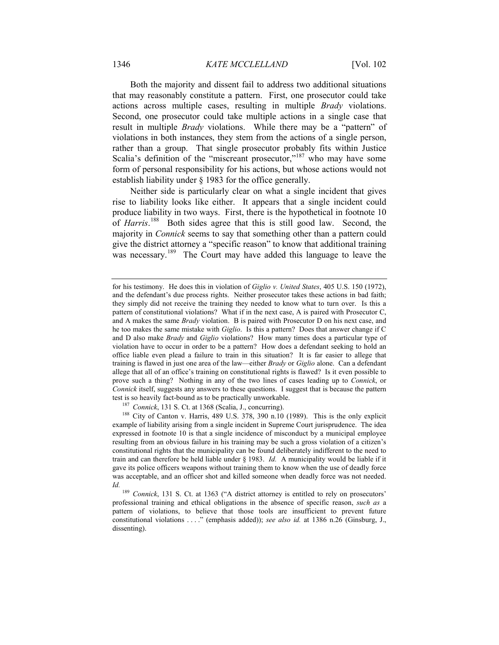Both the majority and dissent fail to address two additional situations that may reasonably constitute a pattern. First, one prosecutor could take actions across multiple cases, resulting in multiple *Brady* violations. Second, one prosecutor could take multiple actions in a single case that result in multiple *Brady* violations. While there may be a "pattern" of violations in both instances, they stem from the actions of a single person, rather than a group. That single prosecutor probably fits within Justice Scalia's definition of the "miscreant prosecutor,"<sup>187</sup> who may have some form of personal responsibility for his actions, but whose actions would not establish liability under § 1983 for the office generally.

Neither side is particularly clear on what a single incident that gives rise to liability looks like either. It appears that a single incident could produce liability in two ways. First, there is the hypothetical in footnote 10 of *Harris*.<sup>188</sup> Both sides agree that this is still good law. Second, the majority in *Connick* seems to say that something other than a pattern could give the district attorney a "specific reason" to know that additional training was necessary.<sup>189</sup> The Court may have added this language to leave the

<sup>187</sup> *Connick*, 131 S. Ct. at 1368 (Scalia, J., concurring).

<sup>188</sup> City of Canton v. Harris, 489 U.S. 378, 390 n.10 (1989). This is the only explicit example of liability arising from a single incident in Supreme Court jurisprudence. The idea expressed in footnote 10 is that a single incidence of misconduct by a municipal employee resulting from an obvious failure in his training may be such a gross violation of a citizen's constitutional rights that the municipality can be found deliberately indifferent to the need to train and can therefore be held liable under § 1983. *Id.* A municipality would be liable if it gave its police officers weapons without training them to know when the use of deadly force was acceptable, and an officer shot and killed someone when deadly force was not needed. *Id.*

for his testimony. He does this in violation of *Giglio v. United States*, 405 U.S. 150 (1972), and the defendant's due process rights. Neither prosecutor takes these actions in bad faith; they simply did not receive the training they needed to know what to turn over. Is this a pattern of constitutional violations? What if in the next case, A is paired with Prosecutor C, and A makes the same *Brady* violation. B is paired with Prosecutor D on his next case, and he too makes the same mistake with *Giglio*. Is this a pattern? Does that answer change if C and D also make *Brady* and *Giglio* violations? How many times does a particular type of violation have to occur in order to be a pattern? How does a defendant seeking to hold an office liable even plead a failure to train in this situation? It is far easier to allege that training is flawed in just one area of the law—either *Brady* or *Giglio* alone. Can a defendant allege that all of an office's training on constitutional rights is flawed? Is it even possible to prove such a thing? Nothing in any of the two lines of cases leading up to *Connick*, or *Connick* itself, suggests any answers to these questions. I suggest that is because the pattern test is so heavily fact-bound as to be practically unworkable.

<sup>189</sup> *Connick*, 131 S. Ct. at 1363 ("A district attorney is entitled to rely on prosecutors' professional training and ethical obligations in the absence of specific reason, *such as* a pattern of violations, to believe that those tools are insufficient to prevent future constitutional violations . . . ." (emphasis added)); *see also id.* at 1386 n.26 (Ginsburg, J., dissenting).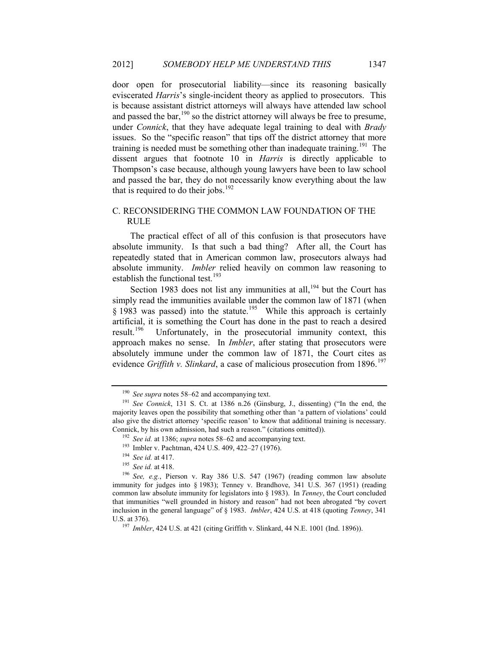door open for prosecutorial liability—since its reasoning basically eviscerated *Harris*'s single-incident theory as applied to prosecutors. This is because assistant district attorneys will always have attended law school and passed the bar,<sup>190</sup> so the district attorney will always be free to presume, under *Connick*, that they have adequate legal training to deal with *Brady* issues. So the "specific reason" that tips off the district attorney that more training is needed must be something other than inadequate training.<sup>191</sup> The dissent argues that footnote 10 in *Harris* is directly applicable to Thompson's case because, although young lawyers have been to law school and passed the bar, they do not necessarily know everything about the law that is required to do their jobs.<sup>192</sup>

# C. RECONSIDERING THE COMMON LAW FOUNDATION OF THE RULE

The practical effect of all of this confusion is that prosecutors have absolute immunity. Is that such a bad thing? After all, the Court has repeatedly stated that in American common law, prosecutors always had absolute immunity. *Imbler* relied heavily on common law reasoning to establish the functional test.<sup>193</sup>

Section 1983 does not list any immunities at all, $194$  but the Court has simply read the immunities available under the common law of 1871 (when  $\S$  1983 was passed) into the statute.<sup>195</sup> While this approach is certainly artificial, it is something the Court has done in the past to reach a desired result.<sup>196</sup> Unfortunately, in the prosecutorial immunity context, this Unfortunately, in the prosecutorial immunity context, this approach makes no sense. In *Imbler*, after stating that prosecutors were absolutely immune under the common law of 1871, the Court cites as evidence *Griffith v. Slinkard*, a case of malicious prosecution from 1896.<sup>197</sup>

<sup>190</sup> *See supra* notes 58–62 and accompanying text.

<sup>191</sup> *See Connick*, 131 S. Ct. at 1386 n.26 (Ginsburg, J., dissenting) ("In the end, the majority leaves open the possibility that something other than 'a pattern of violations' could also give the district attorney 'specific reason' to know that additional training is necessary. Connick, by his own admission, had such a reason." (citations omitted)).

<sup>192</sup> *See id.* at 1386; *supra* notes 58–62 and accompanying text.

<sup>193</sup> Imbler v. Pachtman, 424 U.S. 409, 422–27 (1976).

<sup>194</sup> *See id.* at 417.

<sup>195</sup> *See id.* at 418.

<sup>&</sup>lt;sup>196</sup> See, e.g., Pierson v. Ray 386 U.S. 547 (1967) (reading common law absolute immunity for judges into § 1983); Tenney v. Brandhove, 341 U.S. 367 (1951) (reading common law absolute immunity for legislators into § 1983). In *Tenney*, the Court concluded that immunities "well grounded in history and reason" had not been abrogated "by covert inclusion in the general language" of § 1983. *Imbler*, 424 U.S. at 418 (quoting *Tenney*, 341 U.S. at 376).

<sup>197</sup> *Imbler*, 424 U.S. at 421 (citing Griffith v. Slinkard, 44 N.E. 1001 (Ind. 1896)).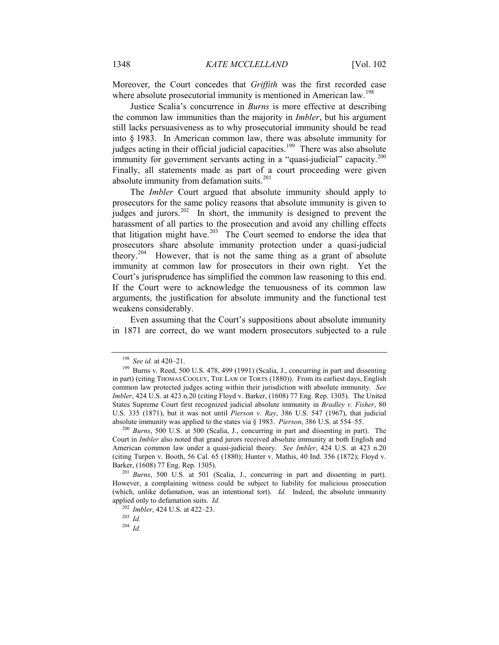Moreover, the Court concedes that *Griffith* was the first recorded case where absolute prosecutorial immunity is mentioned in American law.<sup>198</sup>

Justice Scalia's concurrence in *Burns* is more effective at describing the common law immunities than the majority in *Imbler*, but his argument still lacks persuasiveness as to why prosecutorial immunity should be read into § 1983. In American common law, there was absolute immunity for judges acting in their official judicial capacities.<sup>199</sup> There was also absolute immunity for government servants acting in a "quasi-judicial" capacity.<sup>200</sup> Finally, all statements made as part of a court proceeding were given absolute immunity from defamation suits.<sup>201</sup>

The *Imbler* Court argued that absolute immunity should apply to prosecutors for the same policy reasons that absolute immunity is given to judges and jurors.<sup>202</sup> In short, the immunity is designed to prevent the harassment of all parties to the prosecution and avoid any chilling effects that litigation might have.<sup>203</sup> The Court seemed to endorse the idea that prosecutors share absolute immunity protection under a quasi-judicial theory.<sup>204</sup> However, that is not the same thing as a grant of absolute immunity at common law for prosecutors in their own right. Yet the Court's jurisprudence has simplified the common law reasoning to this end. If the Court were to acknowledge the tenuousness of its common law arguments, the justification for absolute immunity and the functional test weakens considerably.

Even assuming that the Court's suppositions about absolute immunity in 1871 are correct, do we want modern prosecutors subjected to a rule

<sup>198</sup> *See id.* at 420–21.

<sup>&</sup>lt;sup>199</sup> Burns v. Reed, 500 U.S. 478, 499 (1991) (Scalia, J., concurring in part and dissenting in part) (citing THOMAS COOLEY, THE LAW OF TORTS (1880)). From its earliest days, English common law protected judges acting within their jurisdiction with absolute immunity. *See Imbler*, 424 U.S. at 423 n.20 (citing Floyd v. Barker, (1608) 77 Eng. Rep. 1305). The United States Supreme Court first recognized judicial absolute immunity in *Bradley v. Fisher*, 80 U.S. 335 (1871), but it was not until *Pierson v. Ray*, 386 U.S. 547 (1967), that judicial absolute immunity was applied to the states via § 1983. *Pierson*, 386 U.S. at 554–55.

<sup>200</sup> *Burns*, 500 U.S. at 500 (Scalia, J., concurring in part and dissenting in part). The Court in *Imbler* also noted that grand jurors received absolute immunity at both English and American common law under a quasi-judicial theory. *See Imbler*, 424 U.S. at 423 n.20 (citing Turpen v. Booth, 56 Cal. 65 (1880); Hunter v. Mathis, 40 Ind. 356 (1872); Floyd v. Barker, (1608) 77 Eng. Rep. 1305).

<sup>201</sup> *Burns*, 500 U.S. at 501 (Scalia, J., concurring in part and dissenting in part). However, a complaining witness could be subject to liability for malicious prosecution (which, unlike defamation, was an intentional tort). *Id.* Indeed, the absolute immunity applied only to defamation suits. *Id.*

<sup>202</sup> *Imbler*, 424 U.S. at 422–23.

<sup>203</sup> *Id.*

<sup>204</sup> *Id.*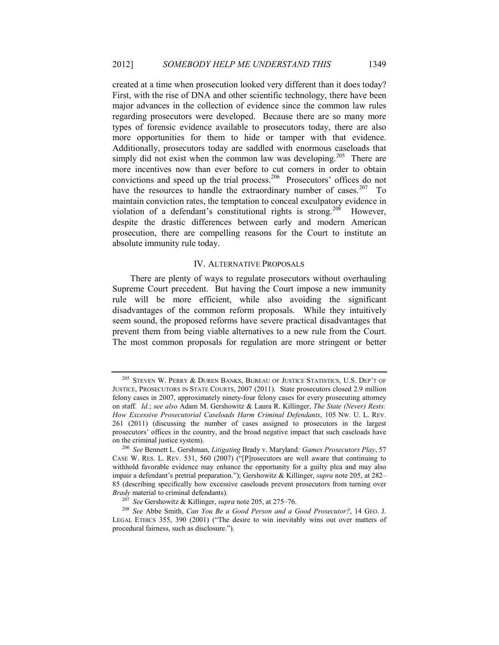created at a time when prosecution looked very different than it does today? First, with the rise of DNA and other scientific technology, there have been major advances in the collection of evidence since the common law rules regarding prosecutors were developed. Because there are so many more types of forensic evidence available to prosecutors today, there are also more opportunities for them to hide or tamper with that evidence. Additionally, prosecutors today are saddled with enormous caseloads that simply did not exist when the common law was developing.<sup>205</sup> There are more incentives now than ever before to cut corners in order to obtain convictions and speed up the trial process.<sup>206</sup> Prosecutors' offices do not have the resources to handle the extraordinary number of cases.<sup>207</sup> To maintain conviction rates, the temptation to conceal exculpatory evidence in violation of a defendant's constitutional rights is strong.<sup>208</sup> However, despite the drastic differences between early and modern American prosecution, there are compelling reasons for the Court to institute an absolute immunity rule today.

#### IV. ALTERNATIVE PROPOSALS

There are plenty of ways to regulate prosecutors without overhauling Supreme Court precedent. But having the Court impose a new immunity rule will be more efficient, while also avoiding the significant disadvantages of the common reform proposals. While they intuitively seem sound, the proposed reforms have severe practical disadvantages that prevent them from being viable alternatives to a new rule from the Court. The most common proposals for regulation are more stringent or better

<sup>&</sup>lt;sup>205</sup> STEVEN W. PERRY & DUREN BANKS, BUREAU OF JUSTICE STATISTICS, U.S. DEP'T OF JUSTICE, PROSECUTORS IN STATE COURTS, 2007 (2011). State prosecutors closed 2.9 million felony cases in 2007, approximately ninety-four felony cases for every prosecuting attorney on staff. *Id.*; *see also* Adam M. Gershowitz & Laura R. Killinger, *The State (Never) Rests: How Excessive Prosecutorial Caseloads Harm Criminal Defendants*, 105 NW. U. L. REV. 261 (2011) (discussing the number of cases assigned to prosecutors in the largest prosecutors' offices in the country, and the broad negative impact that such caseloads have on the criminal justice system).

<sup>206</sup> *See* Bennett L. Gershman, *Litigating* Brady v. Maryland*: Games Prosecutors Play*, 57 CASE W. RES. L. REV. 531, 560 (2007) ("[P]rosecutors are well aware that continuing to withhold favorable evidence may enhance the opportunity for a guilty plea and may also impair a defendant's pretrial preparation."); Gershowitz & Killinger, *supra* note 205, at 282– 85 (describing specifically how excessive caseloads prevent prosecutors from turning over *Brady* material to criminal defendants).

<sup>207</sup> *See* Gershowitz & Killinger, *supra* note 205, at 275–76.

<sup>208</sup> *See* Abbe Smith, *Can You Be a Good Person and a Good Prosecutor?*, 14 GEO. J. LEGAL ETHICS 355, 390 (2001) ("The desire to win inevitably wins out over matters of procedural fairness, such as disclosure.").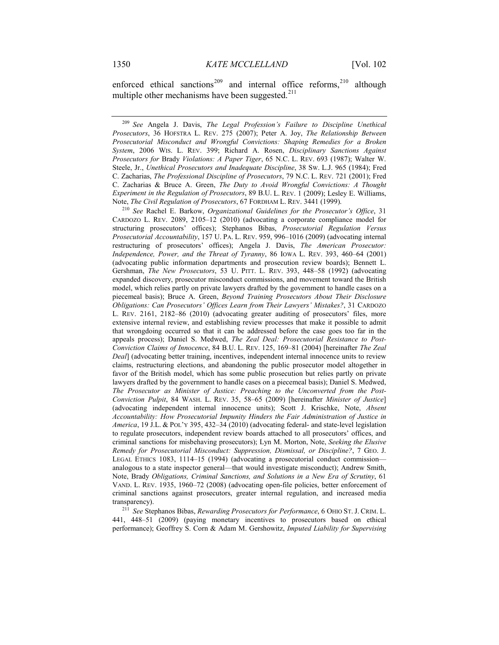enforced ethical sanctions<sup>209</sup> and internal office reforms,<sup>210</sup> although multiple other mechanisms have been suggested. $^{211}$ 

<sup>210</sup> *See* Rachel E. Barkow, *Organizational Guidelines for the Prosecutor's Office*, 31 CARDOZO L. REV. 2089, 2105–12 (2010) (advocating a corporate compliance model for structuring prosecutors' offices); Stephanos Bibas, *Prosecutorial Regulation Versus Prosecutorial Accountability*, 157 U. PA. L. REV. 959, 996–1016 (2009) (advocating internal restructuring of prosecutors' offices); Angela J. Davis, *The American Prosecutor: Independence, Power, and the Threat of Tyranny*, 86 IOWA L. REV. 393, 460–64 (2001) (advocating public information departments and prosecution review boards); Bennett L. Gershman, *The New Prosecutors*, 53 U. PITT. L. REV. 393, 448–58 (1992) (advocating expanded discovery, prosecutor misconduct commissions, and movement toward the British model, which relies partly on private lawyers drafted by the government to handle cases on a piecemeal basis); Bruce A. Green, *Beyond Training Prosecutors About Their Disclosure Obligations: Can Prosecutors' Offices Learn from Their Lawyers' Mistakes?*, 31 CARDOZO L. REV. 2161, 2182–86 (2010) (advocating greater auditing of prosecutors' files, more extensive internal review, and establishing review processes that make it possible to admit that wrongdoing occurred so that it can be addressed before the case goes too far in the appeals process); Daniel S. Medwed, *The Zeal Deal: Prosecutorial Resistance to Post-Conviction Claims of Innocence*, 84 B.U. L. REV. 125, 169–81 (2004) [hereinafter *The Zeal Deal*] (advocating better training, incentives, independent internal innocence units to review claims, restructuring elections, and abandoning the public prosecutor model altogether in favor of the British model, which has some public prosecution but relies partly on private lawyers drafted by the government to handle cases on a piecemeal basis); Daniel S. Medwed, *The Prosecutor as Minister of Justice: Preaching to the Unconverted from the Post-Conviction Pulpit*, 84 WASH. L. REV. 35, 58–65 (2009) [hereinafter *Minister of Justice*] (advocating independent internal innocence units); Scott J. Krischke, Note, *Absent Accountability: How Prosecutorial Impunity Hinders the Fair Administration of Justice in America*, 19 J.L. & POL'Y 395, 432–34 (2010) (advocating federal- and state-level legislation to regulate prosecutors, independent review boards attached to all prosecutors' offices, and criminal sanctions for misbehaving prosecutors); Lyn M. Morton, Note, *Seeking the Elusive Remedy for Prosecutorial Misconduct: Suppression, Dismissal, or Discipline?*, 7 GEO. J. LEGAL ETHICS 1083, 1114–15 (1994) (advocating a prosecutorial conduct commission analogous to a state inspector general—that would investigate misconduct); Andrew Smith, Note, Brady *Obligations, Criminal Sanctions, and Solutions in a New Era of Scrutiny*, 61 VAND. L. REV. 1935, 1960–72 (2008) (advocating open-file policies, better enforcement of criminal sanctions against prosecutors, greater internal regulation, and increased media transparency).

<sup>211</sup> *See* Stephanos Bibas, *Rewarding Prosecutors for Performance*, 6 OHIO ST. J. CRIM. L. 441, 448–51 (2009) (paying monetary incentives to prosecutors based on ethical performance); Geoffrey S. Corn & Adam M. Gershowitz, *Imputed Liability for Supervising* 

<sup>209</sup> *See* Angela J. Davis, *The Legal Profession's Failure to Discipline Unethical Prosecutors*, 36 HOFSTRA L. REV. 275 (2007); Peter A. Joy, *The Relationship Between Prosecutorial Misconduct and Wrongful Convictions: Shaping Remedies for a Broken System*, 2006 WIS. L. REV. 399; Richard A. Rosen, *Disciplinary Sanctions Against Prosecutors for* Brady *Violations: A Paper Tiger*, 65 N.C. L. REV. 693 (1987); Walter W. Steele, Jr., *Unethical Prosecutors and Inadequate Discipline*, 38 SW. L.J. 965 (1984); Fred C. Zacharias, *The Professional Discipline of Prosecutors*, 79 N.C. L. REV. 721 (2001); Fred C. Zacharias & Bruce A. Green, *The Duty to Avoid Wrongful Convictions: A Thought Experiment in the Regulation of Prosecutors*, 89 B.U. L. REV. 1 (2009); Lesley E. Williams, Note, *The Civil Regulation of Prosecutors*, 67 FORDHAM L. REV. 3441 (1999).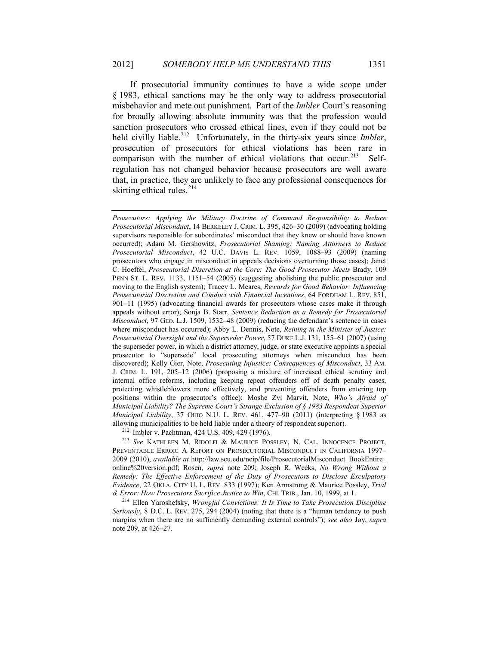If prosecutorial immunity continues to have a wide scope under § 1983, ethical sanctions may be the only way to address prosecutorial misbehavior and mete out punishment. Part of the *Imbler* Court's reasoning for broadly allowing absolute immunity was that the profession would sanction prosecutors who crossed ethical lines, even if they could not be held civilly liable.<sup>212</sup> Unfortunately, in the thirty-six years since *Imbler*, prosecution of prosecutors for ethical violations has been rare in comparison with the number of ethical violations that occur.<sup>213</sup> Selfregulation has not changed behavior because prosecutors are well aware that, in practice, they are unlikely to face any professional consequences for skirting ethical rules. $214$ 

*Prosecutors: Applying the Military Doctrine of Command Responsibility to Reduce Prosecutorial Misconduct*, 14 BERKELEY J. CRIM. L. 395, 426–30 (2009) (advocating holding supervisors responsible for subordinates' misconduct that they knew or should have known occurred); Adam M. Gershowitz, *Prosecutorial Shaming: Naming Attorneys to Reduce Prosecutorial Misconduct*, 42 U.C. DAVIS L. REV. 1059, 1088–93 (2009) (naming prosecutors who engage in misconduct in appeals decisions overturning those cases); Janet C. Hoeffel, *Prosecutorial Discretion at the Core: The Good Prosecutor Meets* Brady, 109 PENN ST. L. REV. 1133, 1151–54 (2005) (suggesting abolishing the public prosecutor and moving to the English system); Tracey L. Meares, *Rewards for Good Behavior: Influencing Prosecutorial Discretion and Conduct with Financial Incentives*, 64 FORDHAM L. REV. 851, 901–11 (1995) (advocating financial awards for prosecutors whose cases make it through appeals without error); Sonja B. Starr, *Sentence Reduction as a Remedy for Prosecutorial Misconduct*, 97 GEO. L.J. 1509, 1532–48 (2009) (reducing the defendant's sentence in cases where misconduct has occurred); Abby L. Dennis, Note, *Reining in the Minister of Justice: Prosecutorial Oversight and the Superseder Power*, 57 DUKE L.J. 131, 155–61 (2007) (using the superseder power, in which a district attorney, judge, or state executive appoints a special prosecutor to "supersede" local prosecuting attorneys when misconduct has been discovered); Kelly Gier, Note, *Prosecuting Injustice: Consequences of Misconduct*, 33 AM. J. CRIM. L. 191, 205–12 (2006) (proposing a mixture of increased ethical scrutiny and internal office reforms, including keeping repeat offenders off of death penalty cases, protecting whistleblowers more effectively, and preventing offenders from entering top positions within the prosecutor's office); Moshe Zvi Marvit, Note, *Who's Afraid of Municipal Liability? The Supreme Court's Strange Exclusion of § 1983 Respondeat Superior Municipal Liability*, 37 OHIO N.U. L. REV. 461, 477–90 (2011) (interpreting § 1983 as allowing municipalities to be held liable under a theory of respondeat superior).

<sup>212</sup> Imbler v. Pachtman, 424 U.S. 409, 429 (1976).

<sup>213</sup> *See* KATHLEEN M. RIDOLFI & MAURICE POSSLEY, N. CAL. INNOCENCE PROJECT, PREVENTABLE ERROR: A REPORT ON PROSECUTORIAL MISCONDUCT IN CALIFORNIA 1997– 2009 (2010), *available at* http://law.scu.edu/ncip/file/ProsecutorialMisconduct\_BookEntire\_ online%20version.pdf; Rosen, *supra* note 209; Joseph R. Weeks, *No Wrong Without a Remedy: The Effective Enforcement of the Duty of Prosecutors to Disclose Exculpatory Evidence*, 22 OKLA. CITY U. L. REV. 833 (1997); Ken Armstrong & Maurice Possley, *Trial & Error: How Prosecutors Sacrifice Justice to Win*, CHI. TRIB., Jan. 10, 1999, at 1.

<sup>214</sup> Ellen Yaroshefsky, *Wrongful Convictions: It Is Time to Take Prosecution Discipline Seriously*, 8 D.C. L. REV. 275, 294 (2004) (noting that there is a "human tendency to push margins when there are no sufficiently demanding external controls"); *see also* Joy, *supra* note 209, at 426–27.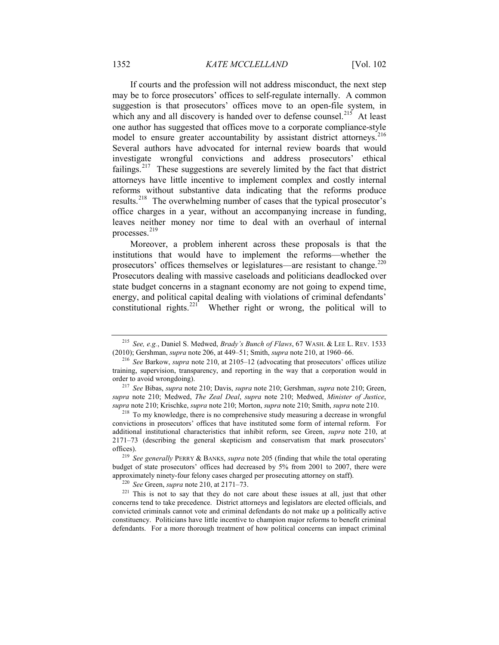If courts and the profession will not address misconduct, the next step may be to force prosecutors' offices to self-regulate internally. A common suggestion is that prosecutors' offices move to an open-file system, in which any and all discovery is handed over to defense counsel.<sup>215</sup> At least one author has suggested that offices move to a corporate compliance-style model to ensure greater accountability by assistant district attorneys.<sup>216</sup> Several authors have advocated for internal review boards that would investigate wrongful convictions and address prosecutors' ethical failings.<sup>217</sup> These suggestions are severely limited by the fact that district attorneys have little incentive to implement complex and costly internal reforms without substantive data indicating that the reforms produce results.218 The overwhelming number of cases that the typical prosecutor's office charges in a year, without an accompanying increase in funding, leaves neither money nor time to deal with an overhaul of internal processes.<sup>219</sup>

Moreover, a problem inherent across these proposals is that the institutions that would have to implement the reforms—whether the prosecutors' offices themselves or legislatures—are resistant to change.<sup>220</sup> Prosecutors dealing with massive caseloads and politicians deadlocked over state budget concerns in a stagnant economy are not going to expend time, energy, and political capital dealing with violations of criminal defendants' constitutional rights.<sup>221</sup> Whether right or wrong, the political will to

<sup>215</sup> *See, e.g.*, Daniel S. Medwed, *Brady's Bunch of Flaws*, 67 WASH. & LEE L. REV. 1533 (2010); Gershman, *supra* note 206, at 449–51; Smith, *supra* note 210, at 1960–66.

<sup>216</sup> *See* Barkow, *supra* note 210, at 2105–12 (advocating that prosecutors' offices utilize training, supervision, transparency, and reporting in the way that a corporation would in order to avoid wrongdoing).

<sup>217</sup> *See* Bibas, *supra* note 210; Davis, *supra* note 210; Gershman, *supra* note 210; Green, *supra* note 210; Medwed, *The Zeal Deal*, *supra* note 210; Medwed, *Minister of Justice*, *supra* note 210; Krischke, *supra* note 210; Morton, *supra* note 210; Smith, *supra* note 210.

<sup>218</sup> To my knowledge, there is no comprehensive study measuring a decrease in wrongful convictions in prosecutors' offices that have instituted some form of internal reform. For additional institutional characteristics that inhibit reform, see Green, *supra* note 210, at 2171–73 (describing the general skepticism and conservatism that mark prosecutors' offices).

<sup>219</sup> *See generally* PERRY & BANKS, *supra* note 205 (finding that while the total operating budget of state prosecutors' offices had decreased by 5% from 2001 to 2007, there were approximately ninety-four felony cases charged per prosecuting attorney on staff).

<sup>220</sup> *See* Green, *supra* note 210, at 2171–73.

 $221$  This is not to say that they do not care about these issues at all, just that other concerns tend to take precedence. District attorneys and legislators are elected officials, and convicted criminals cannot vote and criminal defendants do not make up a politically active constituency. Politicians have little incentive to champion major reforms to benefit criminal defendants. For a more thorough treatment of how political concerns can impact criminal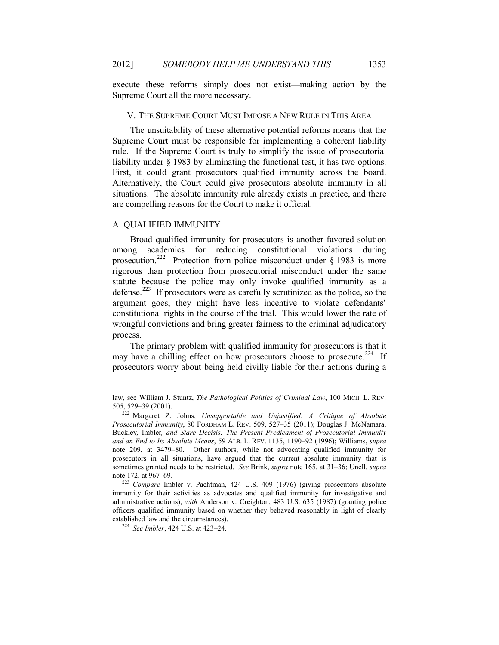execute these reforms simply does not exist—making action by the Supreme Court all the more necessary.

#### V. THE SUPREME COURT MUST IMPOSE A NEW RULE IN THIS AREA

The unsuitability of these alternative potential reforms means that the Supreme Court must be responsible for implementing a coherent liability rule. If the Supreme Court is truly to simplify the issue of prosecutorial liability under § 1983 by eliminating the functional test, it has two options. First, it could grant prosecutors qualified immunity across the board. Alternatively, the Court could give prosecutors absolute immunity in all situations. The absolute immunity rule already exists in practice, and there are compelling reasons for the Court to make it official.

#### A. QUALIFIED IMMUNITY

Broad qualified immunity for prosecutors is another favored solution among academics for reducing constitutional violations during prosecution.<sup>222</sup> Protection from police misconduct under  $\S$  1983 is more rigorous than protection from prosecutorial misconduct under the same statute because the police may only invoke qualified immunity as a defense.223 If prosecutors were as carefully scrutinized as the police, so the argument goes, they might have less incentive to violate defendants' constitutional rights in the course of the trial. This would lower the rate of wrongful convictions and bring greater fairness to the criminal adjudicatory process.

The primary problem with qualified immunity for prosecutors is that it may have a chilling effect on how prosecutors choose to prosecute.<sup>224</sup> If prosecutors worry about being held civilly liable for their actions during a

law, see William J. Stuntz, *The Pathological Politics of Criminal Law*, 100 MICH. L. REV. 505, 529–39 (2001). 222 Margaret Z. Johns, *Unsupportable and Unjustified: A Critique of Absolute* 

*Prosecutorial Immunity*, 80 FORDHAM L. REV. 509, 527–35 (2011); Douglas J. McNamara, Buckley*,* Imbler*, and Stare Decisis: The Present Predicament of Prosecutorial Immunity and an End to Its Absolute Means*, 59 ALB. L. REV. 1135, 1190–92 (1996); Williams, *supra*  note 209, at 3479–80. Other authors, while not advocating qualified immunity for prosecutors in all situations, have argued that the current absolute immunity that is sometimes granted needs to be restricted. *See* Brink, *supra* note 165, at 31–36; Unell, *supra* note 172, at 967–69.

<sup>223</sup> *Compare* Imbler v. Pachtman, 424 U.S. 409 (1976) (giving prosecutors absolute immunity for their activities as advocates and qualified immunity for investigative and administrative actions), *with* Anderson v. Creighton, 483 U.S. 635 (1987) (granting police officers qualified immunity based on whether they behaved reasonably in light of clearly established law and the circumstances).

<sup>224</sup> *See Imbler*, 424 U.S. at 423–24.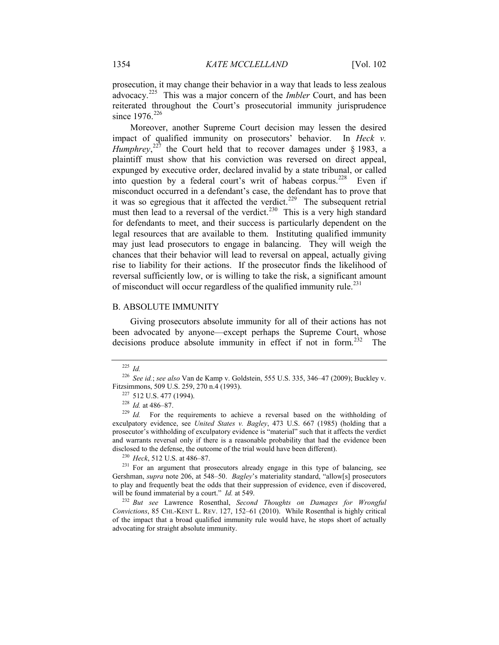prosecution, it may change their behavior in a way that leads to less zealous advocacy.225 This was a major concern of the *Imbler* Court, and has been reiterated throughout the Court's prosecutorial immunity jurisprudence since  $1976^{226}$ 

Moreover, another Supreme Court decision may lessen the desired impact of qualified immunity on prosecutors' behavior. In *Heck v.*  Humphrey,<sup>227</sup> the Court held that to recover damages under § 1983, a plaintiff must show that his conviction was reversed on direct appeal, expunged by executive order, declared invalid by a state tribunal, or called into question by a federal court's writ of habeas corpus.<sup>228</sup> Even if misconduct occurred in a defendant's case, the defendant has to prove that it was so egregious that it affected the verdict.<sup>229</sup> The subsequent retrial must then lead to a reversal of the verdict.<sup>230</sup> This is a very high standard for defendants to meet, and their success is particularly dependent on the legal resources that are available to them. Instituting qualified immunity may just lead prosecutors to engage in balancing. They will weigh the chances that their behavior will lead to reversal on appeal, actually giving rise to liability for their actions. If the prosecutor finds the likelihood of reversal sufficiently low, or is willing to take the risk, a significant amount of misconduct will occur regardless of the qualified immunity rule.<sup>231</sup>

## B. ABSOLUTE IMMUNITY

Giving prosecutors absolute immunity for all of their actions has not been advocated by anyone—except perhaps the Supreme Court, whose decisions produce absolute immunity in effect if not in form.<sup>232</sup> The

<sup>230</sup> *Heck*, 512 U.S. at 486–87.

<sup>231</sup> For an argument that prosecutors already engage in this type of balancing, see Gershman, *supra* note 206, at 548–50. *Bagley*'s materiality standard, "allow[s] prosecutors to play and frequently beat the odds that their suppression of evidence, even if discovered, will be found immaterial by a court." *Id.* at 549.

<sup>232</sup> *But see* Lawrence Rosenthal, *Second Thoughts on Damages for Wrongful Convictions*, 85 CHI.-KENT L. REV. 127, 152–61 (2010). While Rosenthal is highly critical of the impact that a broad qualified immunity rule would have, he stops short of actually advocating for straight absolute immunity.

<sup>225</sup> *Id.*

<sup>226</sup> *See id.*; *see also* Van de Kamp v. Goldstein, 555 U.S. 335, 346–47 (2009); Buckley v. Fitzsimmons, 509 U.S. 259, 270 n.4 (1993).

<sup>227</sup> 512 U.S. 477 (1994).

<sup>228</sup> *Id.* at 486–87.

<sup>&</sup>lt;sup>229</sup> *Id.* For the requirements to achieve a reversal based on the withholding of exculpatory evidence, see *United States v. Bagley*, 473 U.S. 667 (1985) (holding that a prosecutor's withholding of exculpatory evidence is "material" such that it affects the verdict and warrants reversal only if there is a reasonable probability that had the evidence been disclosed to the defense, the outcome of the trial would have been different).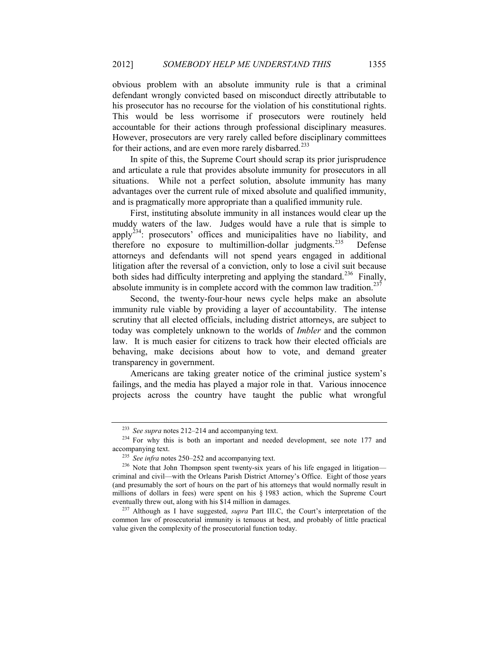obvious problem with an absolute immunity rule is that a criminal defendant wrongly convicted based on misconduct directly attributable to his prosecutor has no recourse for the violation of his constitutional rights. This would be less worrisome if prosecutors were routinely held accountable for their actions through professional disciplinary measures. However, prosecutors are very rarely called before disciplinary committees for their actions, and are even more rarely disbarred.<sup>233</sup>

In spite of this, the Supreme Court should scrap its prior jurisprudence and articulate a rule that provides absolute immunity for prosecutors in all situations. While not a perfect solution, absolute immunity has many advantages over the current rule of mixed absolute and qualified immunity, and is pragmatically more appropriate than a qualified immunity rule.

First, instituting absolute immunity in all instances would clear up the muddy waters of the law. Judges would have a rule that is simple to apply<sup>234</sup>: prosecutors' offices and municipalities have no liability, and therefore no exposure to multimillion-dollar judgments.<sup>235</sup> Defense attorneys and defendants will not spend years engaged in additional litigation after the reversal of a conviction, only to lose a civil suit because both sides had difficulty interpreting and applying the standard.<sup>236</sup> Finally, absolute immunity is in complete accord with the common law tradition.<sup>237</sup>

Second, the twenty-four-hour news cycle helps make an absolute immunity rule viable by providing a layer of accountability. The intense scrutiny that all elected officials, including district attorneys, are subject to today was completely unknown to the worlds of *Imbler* and the common law. It is much easier for citizens to track how their elected officials are behaving, make decisions about how to vote, and demand greater transparency in government.

Americans are taking greater notice of the criminal justice system's failings, and the media has played a major role in that. Various innocence projects across the country have taught the public what wrongful

<sup>233</sup> *See supra* notes 212–214 and accompanying text.

 $234$  For why this is both an important and needed development, see note 177 and accompanying text.

<sup>&</sup>lt;sup>235</sup> *See infra* notes 250–252 and accompanying text.

<sup>&</sup>lt;sup>236</sup> Note that John Thompson spent twenty-six years of his life engaged in litigation criminal and civil—with the Orleans Parish District Attorney's Office. Eight of those years (and presumably the sort of hours on the part of his attorneys that would normally result in millions of dollars in fees) were spent on his § 1983 action, which the Supreme Court eventually threw out, along with his \$14 million in damages.

<sup>237</sup> Although as I have suggested, *supra* Part III.C, the Court's interpretation of the common law of prosecutorial immunity is tenuous at best, and probably of little practical value given the complexity of the prosecutorial function today.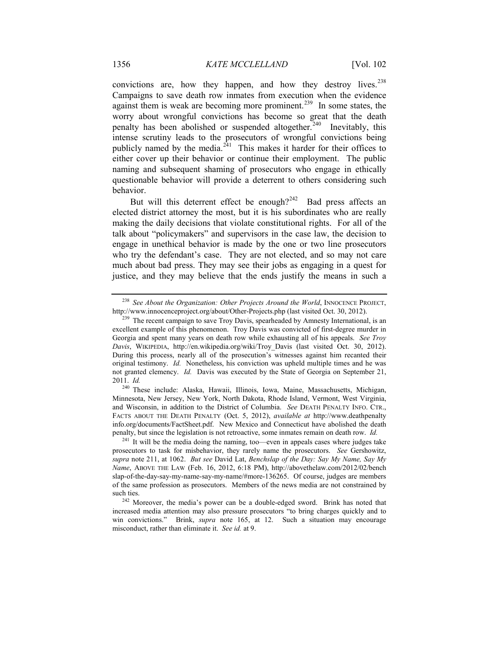convictions are, how they happen, and how they destroy lives.<sup>238</sup> Campaigns to save death row inmates from execution when the evidence against them is weak are becoming more prominent.<sup>239</sup> In some states, the worry about wrongful convictions has become so great that the death penalty has been abolished or suspended altogether.<sup>240</sup> Inevitably, this intense scrutiny leads to the prosecutors of wrongful convictions being publicly named by the media. $241$  This makes it harder for their offices to either cover up their behavior or continue their employment. The public naming and subsequent shaming of prosecutors who engage in ethically questionable behavior will provide a deterrent to others considering such behavior.

But will this deterrent effect be enough? $242$  Bad press affects an elected district attorney the most, but it is his subordinates who are really making the daily decisions that violate constitutional rights. For all of the talk about "policymakers" and supervisors in the case law, the decision to engage in unethical behavior is made by the one or two line prosecutors who try the defendant's case. They are not elected, and so may not care much about bad press. They may see their jobs as engaging in a quest for justice, and they may believe that the ends justify the means in such a

<sup>238</sup> *See About the Organization: Other Projects Around the World*, INNOCENCE PROJECT, http://www.innocenceproject.org/about/Other-Projects.php (last visited Oct. 30, 2012).

<sup>&</sup>lt;sup>239</sup> The recent campaign to save Troy Davis, spearheaded by Amnesty International, is an excellent example of this phenomenon. Troy Davis was convicted of first-degree murder in Georgia and spent many years on death row while exhausting all of his appeals. *See Troy Davis*, WIKIPEDIA, http://en.wikipedia.org/wiki/Troy\_Davis (last visited Oct. 30, 2012). During this process, nearly all of the prosecution's witnesses against him recanted their original testimony. *Id.* Nonetheless, his conviction was upheld multiple times and he was not granted clemency. *Id.* Davis was executed by the State of Georgia on September 21, 2011. *Id.*

<sup>240</sup> These include: Alaska, Hawaii, Illinois, Iowa, Maine, Massachusetts, Michigan, Minnesota, New Jersey, New York, North Dakota, Rhode Island, Vermont, West Virginia, and Wisconsin, in addition to the District of Columbia. *See* DEATH PENALTY INFO. CTR., FACTS ABOUT THE DEATH PENALTY (Oct. 5, 2012), *available at* http://www.deathpenalty info.org/documents/FactSheet.pdf. New Mexico and Connecticut have abolished the death penalty, but since the legislation is not retroactive, some inmates remain on death row. *Id.*

 $241$  It will be the media doing the naming, too—even in appeals cases where judges take prosecutors to task for misbehavior, they rarely name the prosecutors. *See* Gershowitz, *supra* note 211, at 1062. *But see* David Lat, *Benchslap of the Day: Say My Name, Say My Name*, ABOVE THE LAW (Feb. 16, 2012, 6:18 PM), http://abovethelaw.com/2012/02/bench slap-of-the-day-say-my-name-say-my-name/#more-136265. Of course, judges are members of the same profession as prosecutors. Members of the news media are not constrained by such ties.

<sup>&</sup>lt;sup>242</sup> Moreover, the media's power can be a double-edged sword. Brink has noted that increased media attention may also pressure prosecutors "to bring charges quickly and to win convictions." Brink, *supra* note 165, at 12. Such a situation may encourage misconduct, rather than eliminate it. *See id.* at 9.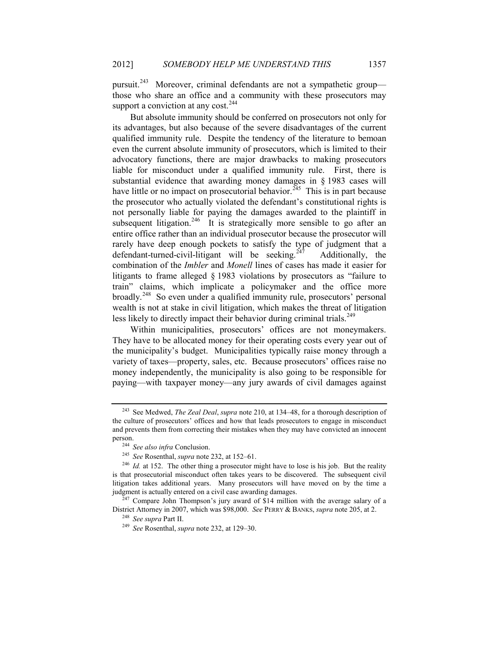pursuit.243 Moreover, criminal defendants are not a sympathetic group those who share an office and a community with these prosecutors may support a conviction at any cost.<sup>244</sup>

But absolute immunity should be conferred on prosecutors not only for its advantages, but also because of the severe disadvantages of the current qualified immunity rule. Despite the tendency of the literature to bemoan even the current absolute immunity of prosecutors, which is limited to their advocatory functions, there are major drawbacks to making prosecutors liable for misconduct under a qualified immunity rule. First, there is substantial evidence that awarding money damages in § 1983 cases will have little or no impact on prosecutorial behavior.<sup> $245$ </sup> This is in part because the prosecutor who actually violated the defendant's constitutional rights is not personally liable for paying the damages awarded to the plaintiff in subsequent litigation.<sup>246</sup> It is strategically more sensible to go after an entire office rather than an individual prosecutor because the prosecutor will rarely have deep enough pockets to satisfy the type of judgment that a defendant-turned-civil-litigant will be seeking.<sup>247</sup> Additionally, the combination of the *Imbler* and *Monell* lines of cases has made it easier for litigants to frame alleged § 1983 violations by prosecutors as "failure to train" claims, which implicate a policymaker and the office more broadly.<sup>248</sup> So even under a qualified immunity rule, prosecutors' personal wealth is not at stake in civil litigation, which makes the threat of litigation less likely to directly impact their behavior during criminal trials.<sup>249</sup>

Within municipalities, prosecutors' offices are not moneymakers. They have to be allocated money for their operating costs every year out of the municipality's budget. Municipalities typically raise money through a variety of taxes—property, sales, etc. Because prosecutors' offices raise no money independently, the municipality is also going to be responsible for paying—with taxpayer money—any jury awards of civil damages against

<sup>243</sup> See Medwed, *The Zeal Deal*, *supra* note 210, at 134–48, for a thorough description of the culture of prosecutors' offices and how that leads prosecutors to engage in misconduct and prevents them from correcting their mistakes when they may have convicted an innocent person.

<sup>244</sup> *See also infra* Conclusion.

<sup>245</sup> *See* Rosenthal, *supra* note 232, at 152–61.

<sup>&</sup>lt;sup>246</sup> *Id.* at 152. The other thing a prosecutor might have to lose is his job. But the reality is that prosecutorial misconduct often takes years to be discovered. The subsequent civil litigation takes additional years. Many prosecutors will have moved on by the time a judgment is actually entered on a civil case awarding damages.

 $247$  Compare John Thompson's jury award of \$14 million with the average salary of a District Attorney in 2007, which was \$98,000. *See* PERRY & BANKS, *supra* note 205, at 2.

<sup>248</sup> *See supra* Part II.

<sup>249</sup> *See* Rosenthal, *supra* note 232, at 129–30.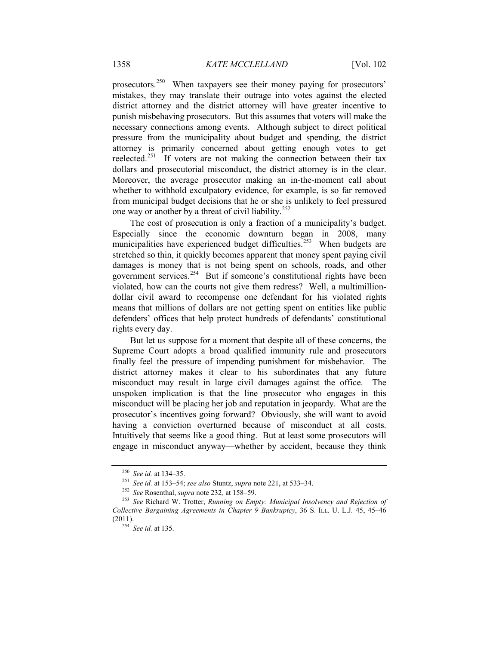prosecutors.<sup>250</sup> When taxpayers see their money paying for prosecutors' mistakes, they may translate their outrage into votes against the elected district attorney and the district attorney will have greater incentive to punish misbehaving prosecutors. But this assumes that voters will make the necessary connections among events. Although subject to direct political pressure from the municipality about budget and spending, the district attorney is primarily concerned about getting enough votes to get reelected.251 If voters are not making the connection between their tax dollars and prosecutorial misconduct, the district attorney is in the clear. Moreover, the average prosecutor making an in-the-moment call about whether to withhold exculpatory evidence, for example, is so far removed from municipal budget decisions that he or she is unlikely to feel pressured one way or another by a threat of civil liability.<sup>252</sup>

The cost of prosecution is only a fraction of a municipality's budget. Especially since the economic downturn began in 2008, many municipalities have experienced budget difficulties.<sup>253</sup> When budgets are stretched so thin, it quickly becomes apparent that money spent paying civil damages is money that is not being spent on schools, roads, and other government services.254 But if someone's constitutional rights have been violated, how can the courts not give them redress? Well, a multimilliondollar civil award to recompense one defendant for his violated rights means that millions of dollars are not getting spent on entities like public defenders' offices that help protect hundreds of defendants' constitutional rights every day.

But let us suppose for a moment that despite all of these concerns, the Supreme Court adopts a broad qualified immunity rule and prosecutors finally feel the pressure of impending punishment for misbehavior. The district attorney makes it clear to his subordinates that any future misconduct may result in large civil damages against the office. The unspoken implication is that the line prosecutor who engages in this misconduct will be placing her job and reputation in jeopardy. What are the prosecutor's incentives going forward? Obviously, she will want to avoid having a conviction overturned because of misconduct at all costs. Intuitively that seems like a good thing. But at least some prosecutors will engage in misconduct anyway—whether by accident, because they think

<sup>250</sup> *See id.* at 134–35.

<sup>251</sup> *See id.* at 153–54; *see also* Stuntz, *supra* note 221, at 533–34.

<sup>252</sup> *See* Rosenthal, *supra* note 232*,* at 158–59.

<sup>253</sup> *See* Richard W. Trotter, *Running on Empty: Municipal Insolvency and Rejection of Collective Bargaining Agreements in Chapter 9 Bankruptcy*, 36 S. ILL. U. L.J. 45, 45–46 (2011).

<sup>254</sup> *See id.* at 135.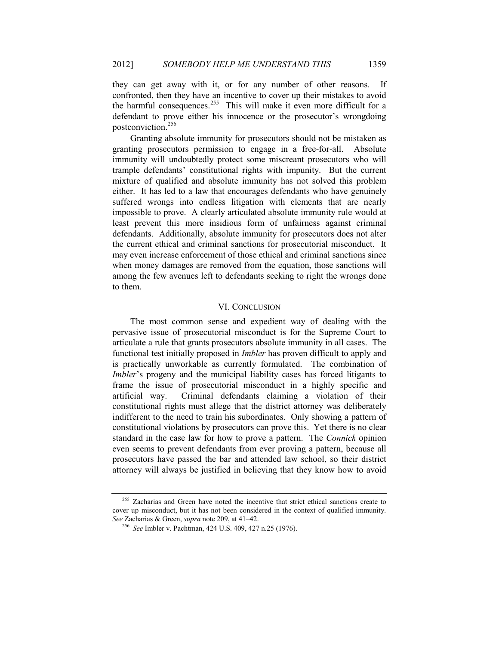they can get away with it, or for any number of other reasons. If confronted, then they have an incentive to cover up their mistakes to avoid the harmful consequences.<sup>255</sup> This will make it even more difficult for a defendant to prove either his innocence or the prosecutor's wrongdoing postconviction.<sup>256</sup>

Granting absolute immunity for prosecutors should not be mistaken as granting prosecutors permission to engage in a free-for-all. Absolute immunity will undoubtedly protect some miscreant prosecutors who will trample defendants' constitutional rights with impunity. But the current mixture of qualified and absolute immunity has not solved this problem either. It has led to a law that encourages defendants who have genuinely suffered wrongs into endless litigation with elements that are nearly impossible to prove. A clearly articulated absolute immunity rule would at least prevent this more insidious form of unfairness against criminal defendants. Additionally, absolute immunity for prosecutors does not alter the current ethical and criminal sanctions for prosecutorial misconduct. It may even increase enforcement of those ethical and criminal sanctions since when money damages are removed from the equation, those sanctions will among the few avenues left to defendants seeking to right the wrongs done to them.

#### VI. CONCLUSION

The most common sense and expedient way of dealing with the pervasive issue of prosecutorial misconduct is for the Supreme Court to articulate a rule that grants prosecutors absolute immunity in all cases. The functional test initially proposed in *Imbler* has proven difficult to apply and is practically unworkable as currently formulated. The combination of *Imbler's* progeny and the municipal liability cases has forced litigants to frame the issue of prosecutorial misconduct in a highly specific and artificial way. Criminal defendants claiming a violation of their constitutional rights must allege that the district attorney was deliberately indifferent to the need to train his subordinates. Only showing a pattern of constitutional violations by prosecutors can prove this. Yet there is no clear standard in the case law for how to prove a pattern. The *Connick* opinion even seems to prevent defendants from ever proving a pattern, because all prosecutors have passed the bar and attended law school, so their district attorney will always be justified in believing that they know how to avoid

<sup>&</sup>lt;sup>255</sup> Zacharias and Green have noted the incentive that strict ethical sanctions create to cover up misconduct, but it has not been considered in the context of qualified immunity. *See* Zacharias & Green, *supra* note 209, at 41–42.

<sup>256</sup> *See* Imbler v. Pachtman, 424 U.S. 409, 427 n.25 (1976).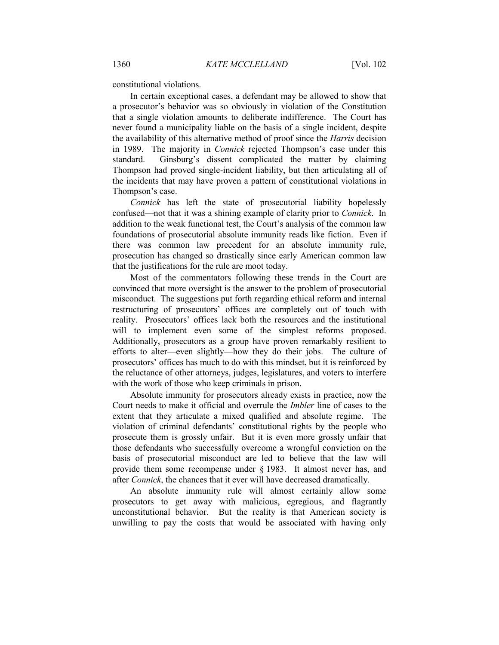constitutional violations.

In certain exceptional cases, a defendant may be allowed to show that a prosecutor's behavior was so obviously in violation of the Constitution that a single violation amounts to deliberate indifference. The Court has never found a municipality liable on the basis of a single incident, despite the availability of this alternative method of proof since the *Harris* decision in 1989. The majority in *Connick* rejected Thompson's case under this standard. Ginsburg's dissent complicated the matter by claiming Thompson had proved single-incident liability, but then articulating all of the incidents that may have proven a pattern of constitutional violations in Thompson's case.

*Connick* has left the state of prosecutorial liability hopelessly confused—not that it was a shining example of clarity prior to *Connick*. In addition to the weak functional test, the Court's analysis of the common law foundations of prosecutorial absolute immunity reads like fiction. Even if there was common law precedent for an absolute immunity rule, prosecution has changed so drastically since early American common law that the justifications for the rule are moot today.

Most of the commentators following these trends in the Court are convinced that more oversight is the answer to the problem of prosecutorial misconduct. The suggestions put forth regarding ethical reform and internal restructuring of prosecutors' offices are completely out of touch with reality. Prosecutors' offices lack both the resources and the institutional will to implement even some of the simplest reforms proposed. Additionally, prosecutors as a group have proven remarkably resilient to efforts to alter—even slightly—how they do their jobs. The culture of prosecutors' offices has much to do with this mindset, but it is reinforced by the reluctance of other attorneys, judges, legislatures, and voters to interfere with the work of those who keep criminals in prison.

Absolute immunity for prosecutors already exists in practice, now the Court needs to make it official and overrule the *Imbler* line of cases to the extent that they articulate a mixed qualified and absolute regime. The violation of criminal defendants' constitutional rights by the people who prosecute them is grossly unfair. But it is even more grossly unfair that those defendants who successfully overcome a wrongful conviction on the basis of prosecutorial misconduct are led to believe that the law will provide them some recompense under § 1983. It almost never has, and after *Connick*, the chances that it ever will have decreased dramatically.

An absolute immunity rule will almost certainly allow some prosecutors to get away with malicious, egregious, and flagrantly unconstitutional behavior. But the reality is that American society is unwilling to pay the costs that would be associated with having only